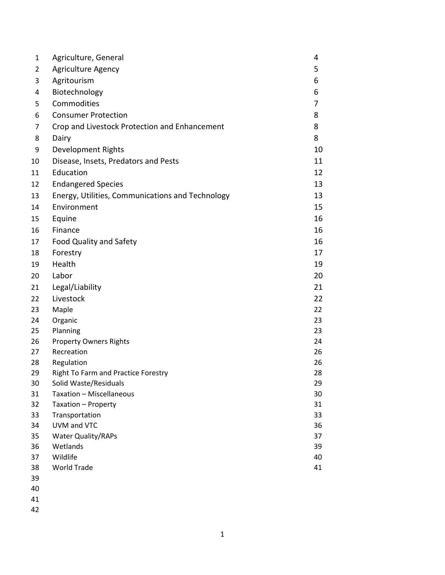| $\mathbf{1}$   | Agriculture, General                             | 4  |
|----------------|--------------------------------------------------|----|
| $\overline{2}$ | <b>Agriculture Agency</b>                        | 5  |
| 3              | Agritourism                                      | 6  |
| $\overline{4}$ | Biotechnology                                    | 6  |
| 5              | Commodities                                      | 7  |
| 6              | <b>Consumer Protection</b>                       | 8  |
| 7              | Crop and Livestock Protection and Enhancement    | 8  |
| 8              | Dairy                                            | 8  |
| 9              | Development Rights                               | 10 |
| 10             | Disease, Insets, Predators and Pests             | 11 |
| 11             | Education                                        | 12 |
| 12             | <b>Endangered Species</b>                        | 13 |
| 13             | Energy, Utilities, Communications and Technology | 13 |
| 14             | Environment                                      | 15 |
| 15             | Equine                                           | 16 |
| 16             | Finance                                          | 16 |
| 17             | Food Quality and Safety                          | 16 |
| 18             | Forestry                                         | 17 |
| 19             | Health                                           | 19 |
| 20             | Labor                                            | 20 |
| 21             | Legal/Liability                                  | 21 |
| 22             | Livestock                                        | 22 |
| 23             | Maple                                            | 22 |
| 24             | Organic                                          | 23 |
| 25             | Planning                                         | 23 |
| 26             | <b>Property Owners Rights</b>                    | 24 |
| 27             | Recreation                                       | 26 |
| 28             | Regulation                                       | 26 |
| 29             | Right To Farm and Practice Forestry              | 28 |
| 30             | Solid Waste/Residuals                            | 29 |
| 31             | Taxation - Miscellaneous                         | 30 |
| 32             | Taxation - Property                              | 31 |
| 33             | Transportation                                   | 33 |
| 34             | UVM and VTC                                      | 36 |
| 35             | <b>Water Quality/RAPs</b>                        | 37 |
| 36             | Wetlands                                         | 39 |
| 37             | Wildlife                                         | 40 |
| 38             | <b>World Trade</b>                               | 41 |
| 39             |                                                  |    |
| 40             |                                                  |    |

- 
- 
-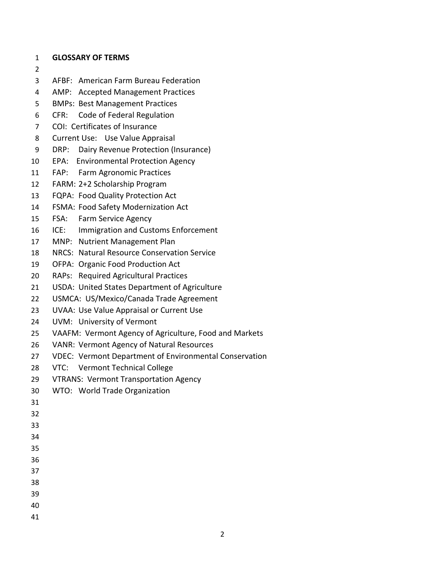- **GLOSSARY OF TERMS**
- 
- AFBF: American Farm Bureau Federation
- AMP: Accepted Management Practices
- BMPs: Best Management Practices
- CFR: Code of Federal Regulation
- COI: Certificates of Insurance
- Current Use: Use Value Appraisal
- DRP: Dairy Revenue Protection (Insurance)
- EPA: Environmental Protection Agency
- FAP: Farm Agronomic Practices
- FARM: 2+2 Scholarship Program
- FQPA: Food Quality Protection Act
- FSMA: Food Safety Modernization Act
- FSA: Farm Service Agency
- ICE: Immigration and Customs Enforcement
- MNP: Nutrient Management Plan
- NRCS: Natural Resource Conservation Service
- OFPA: Organic Food Production Act
- RAPs: Required Agricultural Practices
- USDA: United States Department of Agriculture
- USMCA: US/Mexico/Canada Trade Agreement
- UVAA: Use Value Appraisal or Current Use
- UVM: University of Vermont
- VAAFM: Vermont Agency of Agriculture, Food and Markets
- VANR: Vermont Agency of Natural Resources
- VDEC: Vermont Department of Environmental Conservation
- VTC: Vermont Technical College
- VTRANS: Vermont Transportation Agency
- WTO: World Trade Organization
- 
- 
- 
- 
- 
- 
- 
- 
- 
- 
-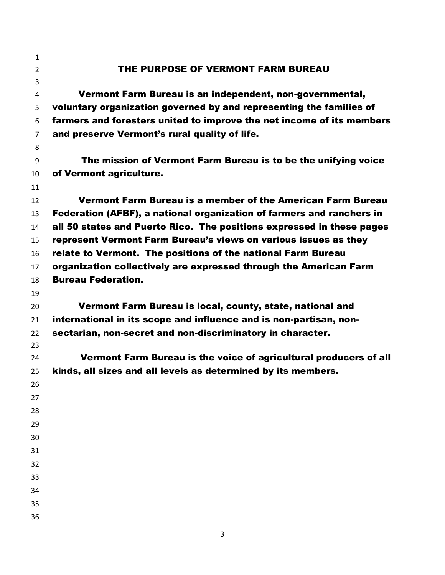THE PURPOSE OF VERMONT FARM BUREAU Vermont Farm Bureau is an independent, non-governmental, voluntary organization governed by and representing the families of farmers and foresters united to improve the net income of its members and preserve Vermont's rural quality of life. The mission of Vermont Farm Bureau is to be the unifying voice of Vermont agriculture. Vermont Farm Bureau is a member of the American Farm Bureau Federation (AFBF), a national organization of farmers and ranchers in all 50 states and Puerto Rico. The positions expressed in these pages represent Vermont Farm Bureau's views on various issues as they relate to Vermont. The positions of the national Farm Bureau organization collectively are expressed through the American Farm Bureau Federation. Vermont Farm Bureau is local, county, state, national and international in its scope and influence and is non-partisan, non- sectarian, non-secret and non-discriminatory in character. Vermont Farm Bureau is the voice of agricultural producers of all kinds, all sizes and all levels as determined by its members.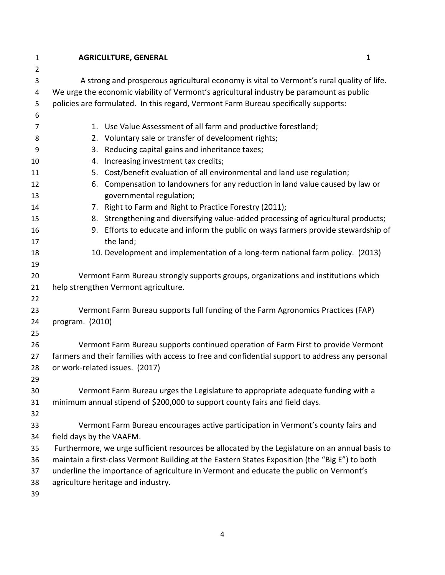**AGRICULTURE, GENERAL 1** A strong and prosperous agricultural economy is vital to Vermont's rural quality of life. We urge the economic viability of Vermont's agricultural industry be paramount as public policies are formulated. In this regard, Vermont Farm Bureau specifically supports: 1. Use Value Assessment of all farm and productive forestland; 2. Voluntary sale or transfer of development rights; 3. Reducing capital gains and inheritance taxes; 4. Increasing investment tax credits; 5. Cost/benefit evaluation of all environmental and land use regulation; 6. Compensation to landowners for any reduction in land value caused by law or governmental regulation; 7. Right to Farm and Right to Practice Forestry (2011); 8. Strengthening and diversifying value-added processing of agricultural products; 9. Efforts to educate and inform the public on ways farmers provide stewardship of 17 the land; 10. Development and implementation of a long-term national farm policy. (2013) Vermont Farm Bureau strongly supports groups, organizations and institutions which help strengthen Vermont agriculture. Vermont Farm Bureau supports full funding of the Farm Agronomics Practices (FAP) program. (2010) Vermont Farm Bureau supports continued operation of Farm First to provide Vermont farmers and their families with access to free and confidential support to address any personal or work-related issues. (2017) Vermont Farm Bureau urges the Legislature to appropriate adequate funding with a minimum annual stipend of \$200,000 to support county fairs and field days. Vermont Farm Bureau encourages active participation in Vermont's county fairs and field days by the VAAFM. Furthermore, we urge sufficient resources be allocated by the Legislature on an annual basis to maintain a first-class Vermont Building at the Eastern States Exposition (the "Big E") to both underline the importance of agriculture in Vermont and educate the public on Vermont's agriculture heritage and industry.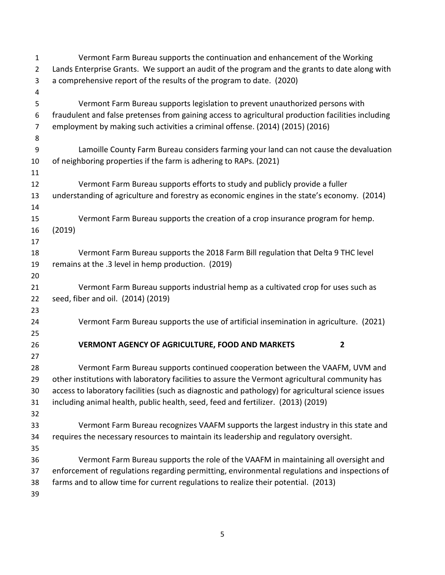| $\mathbf{1}$   | Vermont Farm Bureau supports the continuation and enhancement of the Working                       |
|----------------|----------------------------------------------------------------------------------------------------|
| $\overline{2}$ | Lands Enterprise Grants. We support an audit of the program and the grants to date along with      |
| 3              | a comprehensive report of the results of the program to date. (2020)                               |
| 4              |                                                                                                    |
| 5              | Vermont Farm Bureau supports legislation to prevent unauthorized persons with                      |
| 6              | fraudulent and false pretenses from gaining access to agricultural production facilities including |
| $\overline{7}$ | employment by making such activities a criminal offense. (2014) (2015) (2016)                      |
| 8              |                                                                                                    |
| 9              | Lamoille County Farm Bureau considers farming your land can not cause the devaluation              |
| 10             | of neighboring properties if the farm is adhering to RAPs. (2021)                                  |
| 11             |                                                                                                    |
| 12             | Vermont Farm Bureau supports efforts to study and publicly provide a fuller                        |
| 13             | understanding of agriculture and forestry as economic engines in the state's economy. (2014)       |
| 14             |                                                                                                    |
| 15             | Vermont Farm Bureau supports the creation of a crop insurance program for hemp.                    |
| 16             | (2019)                                                                                             |
| 17             |                                                                                                    |
| 18             | Vermont Farm Bureau supports the 2018 Farm Bill regulation that Delta 9 THC level                  |
| 19             | remains at the .3 level in hemp production. (2019)                                                 |
| 20             |                                                                                                    |
| 21             | Vermont Farm Bureau supports industrial hemp as a cultivated crop for uses such as                 |
| 22             | seed, fiber and oil. (2014) (2019)                                                                 |
| 23             |                                                                                                    |
| 24             | Vermont Farm Bureau supports the use of artificial insemination in agriculture. (2021)             |
| 25             |                                                                                                    |
| 26             | <b>VERMONT AGENCY OF AGRICULTURE, FOOD AND MARKETS</b><br>2                                        |
| 27             |                                                                                                    |
| 28             | Vermont Farm Bureau supports continued cooperation between the VAAFM, UVM and                      |
| 29             | other institutions with laboratory facilities to assure the Vermont agricultural community has     |
| 30             | access to laboratory facilities (such as diagnostic and pathology) for agricultural science issues |
| 31             | including animal health, public health, seed, feed and fertilizer. (2013) (2019)                   |
| 32             |                                                                                                    |
| 33             | Vermont Farm Bureau recognizes VAAFM supports the largest industry in this state and               |
| 34             | requires the necessary resources to maintain its leadership and regulatory oversight.              |
| 35             |                                                                                                    |
| 36             | Vermont Farm Bureau supports the role of the VAAFM in maintaining all oversight and                |
| 37             | enforcement of regulations regarding permitting, environmental regulations and inspections of      |
| 38             | farms and to allow time for current regulations to realize their potential. (2013)                 |
| 39             |                                                                                                    |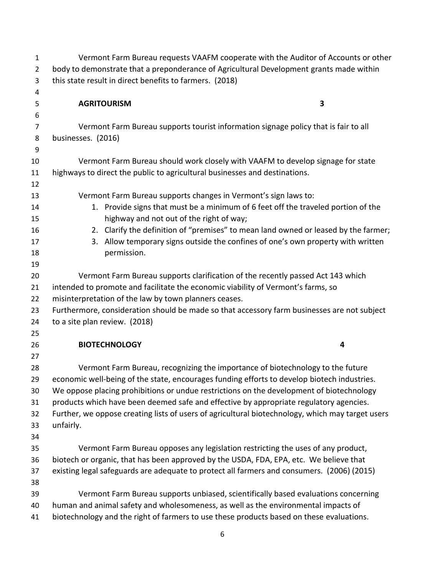| $\mathbf{1}$   | Vermont Farm Bureau requests VAAFM cooperate with the Auditor of Accounts or other                                                                                            |   |  |
|----------------|-------------------------------------------------------------------------------------------------------------------------------------------------------------------------------|---|--|
| $\overline{2}$ | body to demonstrate that a preponderance of Agricultural Development grants made within                                                                                       |   |  |
| 3              | this state result in direct benefits to farmers. (2018)                                                                                                                       |   |  |
| 4              |                                                                                                                                                                               |   |  |
| 5              | <b>AGRITOURISM</b>                                                                                                                                                            | 3 |  |
| 6              |                                                                                                                                                                               |   |  |
| $\overline{7}$ | Vermont Farm Bureau supports tourist information signage policy that is fair to all                                                                                           |   |  |
| 8              | businesses. (2016)                                                                                                                                                            |   |  |
| 9              |                                                                                                                                                                               |   |  |
| 10             | Vermont Farm Bureau should work closely with VAAFM to develop signage for state                                                                                               |   |  |
| 11             | highways to direct the public to agricultural businesses and destinations.                                                                                                    |   |  |
| 12             |                                                                                                                                                                               |   |  |
| 13             | Vermont Farm Bureau supports changes in Vermont's sign laws to:                                                                                                               |   |  |
| 14             | 1. Provide signs that must be a minimum of 6 feet off the traveled portion of the                                                                                             |   |  |
| 15             | highway and not out of the right of way;                                                                                                                                      |   |  |
| 16             | 2. Clarify the definition of "premises" to mean land owned or leased by the farmer;                                                                                           |   |  |
| 17             | 3. Allow temporary signs outside the confines of one's own property with written                                                                                              |   |  |
| 18             | permission.                                                                                                                                                                   |   |  |
| 19             |                                                                                                                                                                               |   |  |
| 20             | Vermont Farm Bureau supports clarification of the recently passed Act 143 which                                                                                               |   |  |
| 21             | intended to promote and facilitate the economic viability of Vermont's farms, so                                                                                              |   |  |
| 22             | misinterpretation of the law by town planners ceases.                                                                                                                         |   |  |
| 23             | Furthermore, consideration should be made so that accessory farm businesses are not subject                                                                                   |   |  |
| 24             | to a site plan review. (2018)                                                                                                                                                 |   |  |
| 25             |                                                                                                                                                                               |   |  |
| 26             | <b>BIOTECHNOLOGY</b>                                                                                                                                                          | 4 |  |
| 27<br>28       |                                                                                                                                                                               |   |  |
| 29             | Vermont Farm Bureau, recognizing the importance of biotechnology to the future<br>economic well-being of the state, encourages funding efforts to develop biotech industries. |   |  |
| 30             | We oppose placing prohibitions or undue restrictions on the development of biotechnology                                                                                      |   |  |
| 31             | products which have been deemed safe and effective by appropriate regulatory agencies.                                                                                        |   |  |
| 32             | Further, we oppose creating lists of users of agricultural biotechnology, which may target users                                                                              |   |  |
| 33             | unfairly.                                                                                                                                                                     |   |  |
| 34             |                                                                                                                                                                               |   |  |
| 35             | Vermont Farm Bureau opposes any legislation restricting the uses of any product,                                                                                              |   |  |
| 36             | biotech or organic, that has been approved by the USDA, FDA, EPA, etc. We believe that                                                                                        |   |  |
| 37             | existing legal safeguards are adequate to protect all farmers and consumers. (2006) (2015)                                                                                    |   |  |
| 38             |                                                                                                                                                                               |   |  |
| 39             | Vermont Farm Bureau supports unbiased, scientifically based evaluations concerning                                                                                            |   |  |
| 40             | human and animal safety and wholesomeness, as well as the environmental impacts of                                                                                            |   |  |
| 41             | biotechnology and the right of farmers to use these products based on these evaluations.                                                                                      |   |  |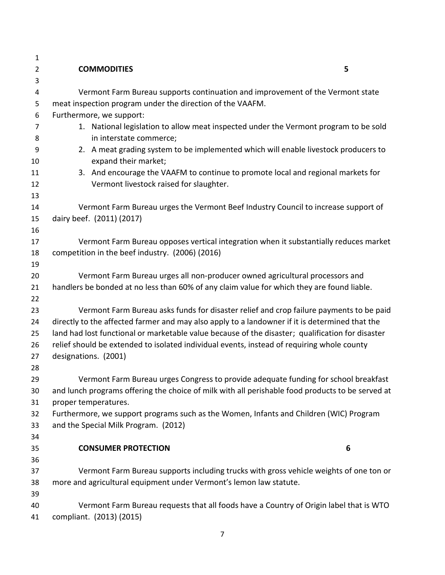| $\mathbf 1$    |                                                                                                  |  |
|----------------|--------------------------------------------------------------------------------------------------|--|
| $\overline{2}$ | <b>COMMODITIES</b><br>5                                                                          |  |
| 3              |                                                                                                  |  |
| 4              | Vermont Farm Bureau supports continuation and improvement of the Vermont state                   |  |
| 5              | meat inspection program under the direction of the VAAFM.                                        |  |
| 6              | Furthermore, we support:                                                                         |  |
| 7              | 1. National legislation to allow meat inspected under the Vermont program to be sold             |  |
| 8              | in interstate commerce;                                                                          |  |
| 9              | 2. A meat grading system to be implemented which will enable livestock producers to              |  |
| 10             | expand their market;                                                                             |  |
| 11             | 3. And encourage the VAAFM to continue to promote local and regional markets for                 |  |
| 12             | Vermont livestock raised for slaughter.                                                          |  |
| 13             |                                                                                                  |  |
| 14             | Vermont Farm Bureau urges the Vermont Beef Industry Council to increase support of               |  |
| 15             | dairy beef. (2011) (2017)                                                                        |  |
| 16             |                                                                                                  |  |
| 17             | Vermont Farm Bureau opposes vertical integration when it substantially reduces market            |  |
| 18             | competition in the beef industry. (2006) (2016)                                                  |  |
| 19             |                                                                                                  |  |
| 20             | Vermont Farm Bureau urges all non-producer owned agricultural processors and                     |  |
| 21             | handlers be bonded at no less than 60% of any claim value for which they are found liable.       |  |
| 22             |                                                                                                  |  |
| 23             | Vermont Farm Bureau asks funds for disaster relief and crop failure payments to be paid          |  |
| 24             | directly to the affected farmer and may also apply to a landowner if it is determined that the   |  |
| 25             | land had lost functional or marketable value because of the disaster; qualification for disaster |  |
| 26             | relief should be extended to isolated individual events, instead of requiring whole county       |  |
| 27             | designations. (2001)                                                                             |  |
| 28<br>29       | Vermont Farm Bureau urges Congress to provide adequate funding for school breakfast              |  |
| 30             | and lunch programs offering the choice of milk with all perishable food products to be served at |  |
| 31             | proper temperatures.                                                                             |  |
| 32             | Furthermore, we support programs such as the Women, Infants and Children (WIC) Program           |  |
| 33             | and the Special Milk Program. (2012)                                                             |  |
| 34             |                                                                                                  |  |
| 35             | <b>CONSUMER PROTECTION</b><br>6                                                                  |  |
| 36             |                                                                                                  |  |
| 37             | Vermont Farm Bureau supports including trucks with gross vehicle weights of one ton or           |  |
| 38             | more and agricultural equipment under Vermont's lemon law statute.                               |  |
| 39             |                                                                                                  |  |
| 40             | Vermont Farm Bureau requests that all foods have a Country of Origin label that is WTO           |  |
| 41             | compliant. (2013) (2015)                                                                         |  |
|                |                                                                                                  |  |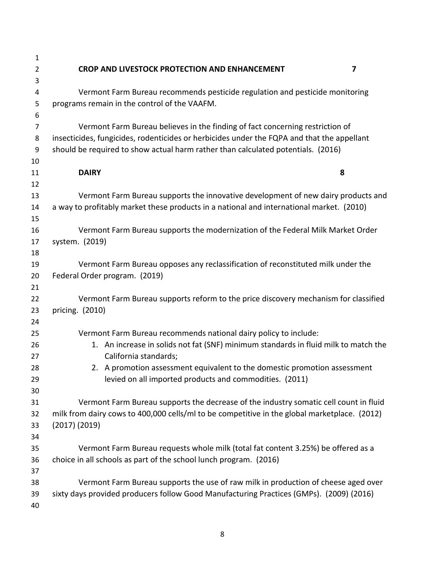| $\mathbf{1}$   |                                                                                                                                                                               |
|----------------|-------------------------------------------------------------------------------------------------------------------------------------------------------------------------------|
| $\overline{2}$ | CROP AND LIVESTOCK PROTECTION AND ENHANCEMENT<br>7                                                                                                                            |
| 3              |                                                                                                                                                                               |
| 4              | Vermont Farm Bureau recommends pesticide regulation and pesticide monitoring                                                                                                  |
| 5<br>6         | programs remain in the control of the VAAFM.                                                                                                                                  |
| $\overline{7}$ | Vermont Farm Bureau believes in the finding of fact concerning restriction of                                                                                                 |
| 8              | insecticides, fungicides, rodenticides or herbicides under the FQPA and that the appellant                                                                                    |
| 9              | should be required to show actual harm rather than calculated potentials. (2016)                                                                                              |
| 10             |                                                                                                                                                                               |
| 11             | 8<br><b>DAIRY</b>                                                                                                                                                             |
| 12             |                                                                                                                                                                               |
| 13<br>14       | Vermont Farm Bureau supports the innovative development of new dairy products and<br>a way to profitably market these products in a national and international market. (2010) |
| 15             |                                                                                                                                                                               |
| 16             | Vermont Farm Bureau supports the modernization of the Federal Milk Market Order                                                                                               |
| 17             | system. (2019)                                                                                                                                                                |
| 18             |                                                                                                                                                                               |
| 19             | Vermont Farm Bureau opposes any reclassification of reconstituted milk under the                                                                                              |
| 20             | Federal Order program. (2019)                                                                                                                                                 |
| 21             |                                                                                                                                                                               |
| 22             | Vermont Farm Bureau supports reform to the price discovery mechanism for classified                                                                                           |
| 23             | pricing. (2010)                                                                                                                                                               |
| 24             |                                                                                                                                                                               |
| 25             | Vermont Farm Bureau recommends national dairy policy to include:                                                                                                              |
| 26             | 1. An increase in solids not fat (SNF) minimum standards in fluid milk to match the                                                                                           |
| 27             | California standards;                                                                                                                                                         |
| 28             | 2. A promotion assessment equivalent to the domestic promotion assessment                                                                                                     |
| 29             | levied on all imported products and commodities. (2011)                                                                                                                       |
| 30             |                                                                                                                                                                               |
| 31             | Vermont Farm Bureau supports the decrease of the industry somatic cell count in fluid                                                                                         |
| 32             | milk from dairy cows to 400,000 cells/ml to be competitive in the global marketplace. (2012)                                                                                  |
| 33             | $(2017)$ $(2019)$                                                                                                                                                             |
| 34             |                                                                                                                                                                               |
| 35             | Vermont Farm Bureau requests whole milk (total fat content 3.25%) be offered as a                                                                                             |
| 36             | choice in all schools as part of the school lunch program. (2016)                                                                                                             |
| 37             |                                                                                                                                                                               |
| 38             | Vermont Farm Bureau supports the use of raw milk in production of cheese aged over                                                                                            |
| 39             | sixty days provided producers follow Good Manufacturing Practices (GMPs). (2009) (2016)                                                                                       |
| 40             |                                                                                                                                                                               |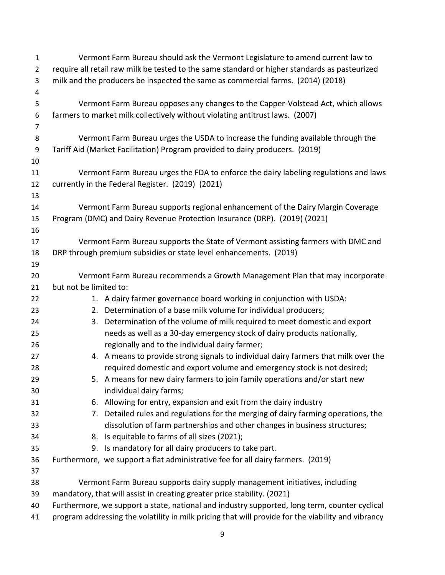| $\mathbf{1}$   |                                                                                               | Vermont Farm Bureau should ask the Vermont Legislature to amend current law to                     |  |
|----------------|-----------------------------------------------------------------------------------------------|----------------------------------------------------------------------------------------------------|--|
| $\overline{2}$ | require all retail raw milk be tested to the same standard or higher standards as pasteurized |                                                                                                    |  |
| 3              |                                                                                               | milk and the producers be inspected the same as commercial farms. (2014) (2018)                    |  |
| 4              |                                                                                               |                                                                                                    |  |
| 5              |                                                                                               | Vermont Farm Bureau opposes any changes to the Capper-Volstead Act, which allows                   |  |
| 6              |                                                                                               | farmers to market milk collectively without violating antitrust laws. (2007)                       |  |
| $\overline{7}$ |                                                                                               |                                                                                                    |  |
| 8              |                                                                                               | Vermont Farm Bureau urges the USDA to increase the funding available through the                   |  |
| 9              |                                                                                               | Tariff Aid (Market Facilitation) Program provided to dairy producers. (2019)                       |  |
| 10             |                                                                                               |                                                                                                    |  |
| 11             |                                                                                               | Vermont Farm Bureau urges the FDA to enforce the dairy labeling regulations and laws               |  |
| 12             |                                                                                               | currently in the Federal Register. (2019) (2021)                                                   |  |
| 13             |                                                                                               |                                                                                                    |  |
| 14             |                                                                                               | Vermont Farm Bureau supports regional enhancement of the Dairy Margin Coverage                     |  |
| 15             |                                                                                               | Program (DMC) and Dairy Revenue Protection Insurance (DRP). (2019) (2021)                          |  |
| 16             |                                                                                               |                                                                                                    |  |
| 17             |                                                                                               | Vermont Farm Bureau supports the State of Vermont assisting farmers with DMC and                   |  |
| 18             |                                                                                               | DRP through premium subsidies or state level enhancements. (2019)                                  |  |
| 19             |                                                                                               |                                                                                                    |  |
| 20             |                                                                                               | Vermont Farm Bureau recommends a Growth Management Plan that may incorporate                       |  |
| 21             | but not be limited to:                                                                        |                                                                                                    |  |
| 22             |                                                                                               | 1. A dairy farmer governance board working in conjunction with USDA:                               |  |
| 23             |                                                                                               | 2. Determination of a base milk volume for individual producers;                                   |  |
| 24             |                                                                                               | 3. Determination of the volume of milk required to meet domestic and export                        |  |
| 25             |                                                                                               | needs as well as a 30-day emergency stock of dairy products nationally,                            |  |
| 26             |                                                                                               | regionally and to the individual dairy farmer;                                                     |  |
| 27             |                                                                                               | 4. A means to provide strong signals to individual dairy farmers that milk over the                |  |
| 28             |                                                                                               | required domestic and export volume and emergency stock is not desired;                            |  |
| 29             |                                                                                               | 5. A means for new dairy farmers to join family operations and/or start new                        |  |
| 30             |                                                                                               | individual dairy farms;                                                                            |  |
| 31             |                                                                                               | 6. Allowing for entry, expansion and exit from the dairy industry                                  |  |
| 32             |                                                                                               | 7. Detailed rules and regulations for the merging of dairy farming operations, the                 |  |
| 33             |                                                                                               | dissolution of farm partnerships and other changes in business structures;                         |  |
| 34             |                                                                                               | 8. Is equitable to farms of all sizes (2021);                                                      |  |
| 35             |                                                                                               | 9. Is mandatory for all dairy producers to take part.                                              |  |
| 36             |                                                                                               | Furthermore, we support a flat administrative fee for all dairy farmers. (2019)                    |  |
| 37             |                                                                                               |                                                                                                    |  |
| 38             |                                                                                               | Vermont Farm Bureau supports dairy supply management initiatives, including                        |  |
| 39             |                                                                                               | mandatory, that will assist in creating greater price stability. (2021)                            |  |
| 40             |                                                                                               | Furthermore, we support a state, national and industry supported, long term, counter cyclical      |  |
| 41             |                                                                                               | program addressing the volatility in milk pricing that will provide for the viability and vibrancy |  |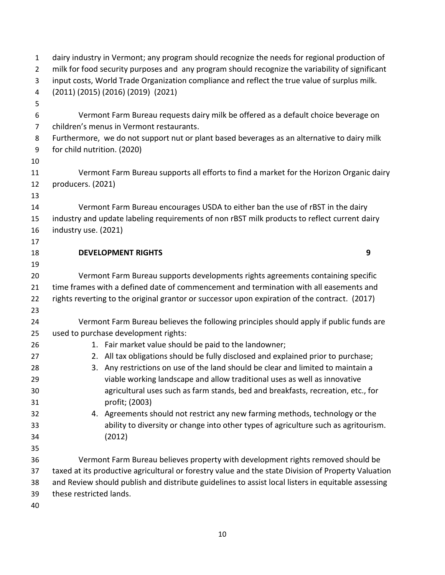| $\mathbf{1}$   | dairy industry in Vermont; any program should recognize the needs for regional production of        |  |
|----------------|-----------------------------------------------------------------------------------------------------|--|
| $\overline{2}$ | milk for food security purposes and any program should recognize the variability of significant     |  |
| 3              | input costs, World Trade Organization compliance and reflect the true value of surplus milk.        |  |
| 4              | (2011) (2015) (2016) (2019) (2021)                                                                  |  |
| 5              |                                                                                                     |  |
| 6              | Vermont Farm Bureau requests dairy milk be offered as a default choice beverage on                  |  |
| $\overline{7}$ | children's menus in Vermont restaurants.                                                            |  |
| 8              | Furthermore, we do not support nut or plant based beverages as an alternative to dairy milk         |  |
| 9              | for child nutrition. (2020)                                                                         |  |
| 10             |                                                                                                     |  |
| 11             | Vermont Farm Bureau supports all efforts to find a market for the Horizon Organic dairy             |  |
| 12             | producers. (2021)                                                                                   |  |
| 13             |                                                                                                     |  |
| 14             | Vermont Farm Bureau encourages USDA to either ban the use of rBST in the dairy                      |  |
| 15             | industry and update labeling requirements of non rBST milk products to reflect current dairy        |  |
| 16             | industry use. (2021)                                                                                |  |
| 17             |                                                                                                     |  |
| 18             | <b>DEVELOPMENT RIGHTS</b><br>9                                                                      |  |
| 19             |                                                                                                     |  |
| 20             | Vermont Farm Bureau supports developments rights agreements containing specific                     |  |
| 21             | time frames with a defined date of commencement and termination with all easements and              |  |
| 22             | rights reverting to the original grantor or successor upon expiration of the contract. (2017)       |  |
| 23             |                                                                                                     |  |
| 24             | Vermont Farm Bureau believes the following principles should apply if public funds are              |  |
| 25             | used to purchase development rights:                                                                |  |
| 26             | 1. Fair market value should be paid to the landowner;                                               |  |
| 27             | 2. All tax obligations should be fully disclosed and explained prior to purchase;                   |  |
| 28             | 3. Any restrictions on use of the land should be clear and limited to maintain a                    |  |
| 29             | viable working landscape and allow traditional uses as well as innovative                           |  |
| 30             | agricultural uses such as farm stands, bed and breakfasts, recreation, etc., for                    |  |
| 31             | profit; (2003)                                                                                      |  |
| 32             | 4. Agreements should not restrict any new farming methods, technology or the                        |  |
| 33             | ability to diversity or change into other types of agriculture such as agritourism.                 |  |
| 34             | (2012)                                                                                              |  |
| 35             |                                                                                                     |  |
| 36             | Vermont Farm Bureau believes property with development rights removed should be                     |  |
| 37             | taxed at its productive agricultural or forestry value and the state Division of Property Valuation |  |
| 38             | and Review should publish and distribute guidelines to assist local listers in equitable assessing  |  |
| 39             | these restricted lands.                                                                             |  |
| 40             |                                                                                                     |  |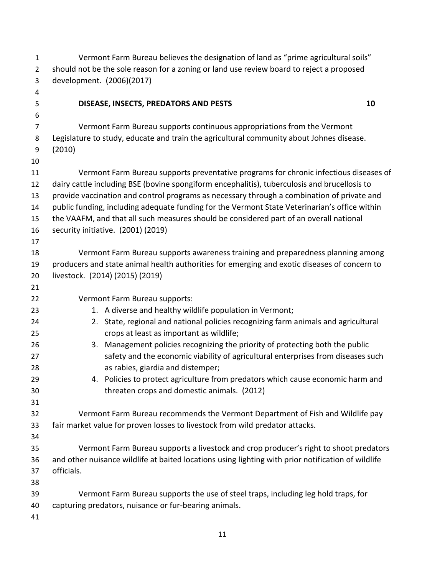| $\mathbf{1}$   | Vermont Farm Bureau believes the designation of land as "prime agricultural soils"                 |  |  |
|----------------|----------------------------------------------------------------------------------------------------|--|--|
| $\overline{2}$ | should not be the sole reason for a zoning or land use review board to reject a proposed           |  |  |
| 3              | development. (2006)(2017)                                                                          |  |  |
| 4              |                                                                                                    |  |  |
| 5              | DISEASE, INSECTS, PREDATORS AND PESTS<br>10                                                        |  |  |
| 6              |                                                                                                    |  |  |
| 7              | Vermont Farm Bureau supports continuous appropriations from the Vermont                            |  |  |
| 8              | Legislature to study, educate and train the agricultural community about Johnes disease.           |  |  |
| 9              | (2010)                                                                                             |  |  |
| 10             |                                                                                                    |  |  |
| 11             | Vermont Farm Bureau supports preventative programs for chronic infectious diseases of              |  |  |
| 12             | dairy cattle including BSE (bovine spongiform encephalitis), tuberculosis and brucellosis to       |  |  |
| 13             | provide vaccination and control programs as necessary through a combination of private and         |  |  |
| 14             | public funding, including adequate funding for the Vermont State Veterinarian's office within      |  |  |
| 15             | the VAAFM, and that all such measures should be considered part of an overall national             |  |  |
| 16             | security initiative. (2001) (2019)                                                                 |  |  |
| 17             |                                                                                                    |  |  |
| 18             | Vermont Farm Bureau supports awareness training and preparedness planning among                    |  |  |
| 19             | producers and state animal health authorities for emerging and exotic diseases of concern to       |  |  |
| 20             | livestock. (2014) (2015) (2019)                                                                    |  |  |
| 21             |                                                                                                    |  |  |
| 22             | Vermont Farm Bureau supports:                                                                      |  |  |
| 23             | 1. A diverse and healthy wildlife population in Vermont;                                           |  |  |
| 24             | 2. State, regional and national policies recognizing farm animals and agricultural                 |  |  |
| 25             | crops at least as important as wildlife;                                                           |  |  |
| 26             | 3. Management policies recognizing the priority of protecting both the public                      |  |  |
| 27             | safety and the economic viability of agricultural enterprises from diseases such                   |  |  |
| 28             | as rabies, giardia and distemper;                                                                  |  |  |
| 29             | 4. Policies to protect agriculture from predators which cause economic harm and                    |  |  |
| 30             | threaten crops and domestic animals. (2012)                                                        |  |  |
| 31             |                                                                                                    |  |  |
| 32             | Vermont Farm Bureau recommends the Vermont Department of Fish and Wildlife pay                     |  |  |
| 33             | fair market value for proven losses to livestock from wild predator attacks.                       |  |  |
| 34             |                                                                                                    |  |  |
| 35             | Vermont Farm Bureau supports a livestock and crop producer's right to shoot predators              |  |  |
| 36             | and other nuisance wildlife at baited locations using lighting with prior notification of wildlife |  |  |
| 37             | officials.                                                                                         |  |  |
| 38             |                                                                                                    |  |  |
| 39             | Vermont Farm Bureau supports the use of steel traps, including leg hold traps, for                 |  |  |
| 40             | capturing predators, nuisance or fur-bearing animals.                                              |  |  |
| 41             |                                                                                                    |  |  |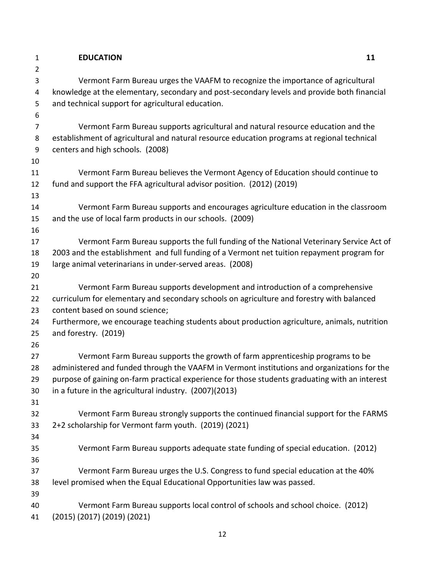## **EDUCATION 11**

 Vermont Farm Bureau urges the VAAFM to recognize the importance of agricultural knowledge at the elementary, secondary and post-secondary levels and provide both financial and technical support for agricultural education.

 Vermont Farm Bureau supports agricultural and natural resource education and the establishment of agricultural and natural resource education programs at regional technical centers and high schools. (2008)

 Vermont Farm Bureau believes the Vermont Agency of Education should continue to fund and support the FFA agricultural advisor position. (2012) (2019)

 Vermont Farm Bureau supports and encourages agriculture education in the classroom and the use of local farm products in our schools. (2009)

 Vermont Farm Bureau supports the full funding of the National Veterinary Service Act of 2003 and the establishment and full funding of a Vermont net tuition repayment program for large animal veterinarians in under-served areas. (2008)

 Vermont Farm Bureau supports development and introduction of a comprehensive curriculum for elementary and secondary schools on agriculture and forestry with balanced content based on sound science;

 Furthermore, we encourage teaching students about production agriculture, animals, nutrition and forestry. (2019)

 Vermont Farm Bureau supports the growth of farm apprenticeship programs to be administered and funded through the VAAFM in Vermont institutions and organizations for the purpose of gaining on-farm practical experience for those students graduating with an interest in a future in the agricultural industry. (2007)(2013)

 Vermont Farm Bureau strongly supports the continued financial support for the FARMS 2+2 scholarship for Vermont farm youth. (2019) (2021)

 Vermont Farm Bureau supports adequate state funding of special education. (2012) Vermont Farm Bureau urges the U.S. Congress to fund special education at the 40% level promised when the Equal Educational Opportunities law was passed. 

 Vermont Farm Bureau supports local control of schools and school choice. (2012) (2015) (2017) (2019) (2021)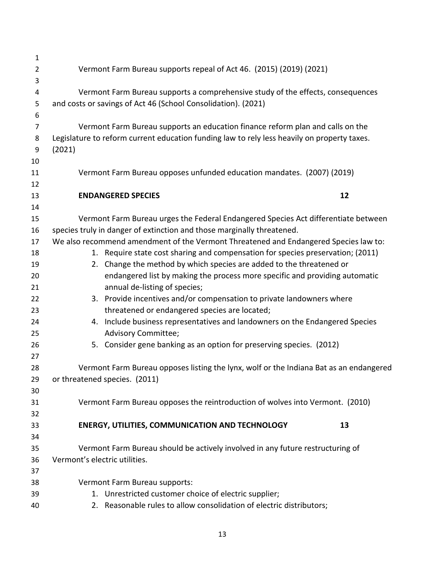| $\mathbf{1}$   |                                                                                                                                                         |
|----------------|---------------------------------------------------------------------------------------------------------------------------------------------------------|
| $\overline{2}$ | Vermont Farm Bureau supports repeal of Act 46. (2015) (2019) (2021)                                                                                     |
| 3              |                                                                                                                                                         |
| 4              | Vermont Farm Bureau supports a comprehensive study of the effects, consequences                                                                         |
| 5              | and costs or savings of Act 46 (School Consolidation). (2021)                                                                                           |
| 6              |                                                                                                                                                         |
| $\overline{7}$ | Vermont Farm Bureau supports an education finance reform plan and calls on the                                                                          |
| 8              | Legislature to reform current education funding law to rely less heavily on property taxes.                                                             |
| 9              | (2021)                                                                                                                                                  |
| 10             |                                                                                                                                                         |
| 11             | Vermont Farm Bureau opposes unfunded education mandates. (2007) (2019)                                                                                  |
| 12             |                                                                                                                                                         |
| 13             | 12<br><b>ENDANGERED SPECIES</b>                                                                                                                         |
| 14             |                                                                                                                                                         |
| 15             | Vermont Farm Bureau urges the Federal Endangered Species Act differentiate between                                                                      |
| 16             | species truly in danger of extinction and those marginally threatened.                                                                                  |
| 17             | We also recommend amendment of the Vermont Threatened and Endangered Species law to:                                                                    |
| 18<br>19       | 1. Require state cost sharing and compensation for species preservation; (2011)<br>2. Change the method by which species are added to the threatened or |
| 20             | endangered list by making the process more specific and providing automatic                                                                             |
| 21             | annual de-listing of species;                                                                                                                           |
| 22             | 3. Provide incentives and/or compensation to private landowners where                                                                                   |
| 23             | threatened or endangered species are located;                                                                                                           |
| 24             | 4. Include business representatives and landowners on the Endangered Species                                                                            |
| 25             | Advisory Committee;                                                                                                                                     |
| 26             | 5. Consider gene banking as an option for preserving species. (2012)                                                                                    |
| 27             |                                                                                                                                                         |
| 28             | Vermont Farm Bureau opposes listing the lynx, wolf or the Indiana Bat as an endangered                                                                  |
| 29             | or threatened species. (2011)                                                                                                                           |
| 30             |                                                                                                                                                         |
| 31             | Vermont Farm Bureau opposes the reintroduction of wolves into Vermont. (2010)                                                                           |
| 32             |                                                                                                                                                         |
| 33             | <b>ENERGY, UTILITIES, COMMUNICATION AND TECHNOLOGY</b><br>13                                                                                            |
| 34             |                                                                                                                                                         |
| 35             | Vermont Farm Bureau should be actively involved in any future restructuring of                                                                          |
| 36             | Vermont's electric utilities.                                                                                                                           |
| 37             |                                                                                                                                                         |
| 38             | Vermont Farm Bureau supports:                                                                                                                           |
| 39             | 1. Unrestricted customer choice of electric supplier;                                                                                                   |
| 40             | 2. Reasonable rules to allow consolidation of electric distributors;                                                                                    |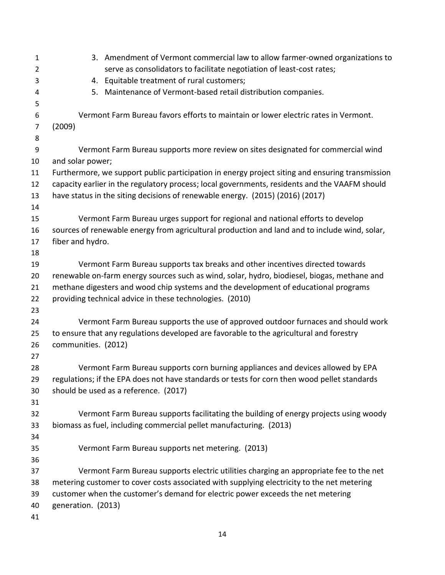| $\mathbf{1}$   |                     | 3. Amendment of Vermont commercial law to allow farmer-owned organizations to                   |
|----------------|---------------------|-------------------------------------------------------------------------------------------------|
| $\overline{2}$ |                     | serve as consolidators to facilitate negotiation of least-cost rates;                           |
| 3              |                     | 4. Equitable treatment of rural customers;                                                      |
| 4              |                     | 5. Maintenance of Vermont-based retail distribution companies.                                  |
| 5              |                     |                                                                                                 |
| 6              |                     | Vermont Farm Bureau favors efforts to maintain or lower electric rates in Vermont.              |
| $\overline{7}$ | (2009)              |                                                                                                 |
| 8              |                     |                                                                                                 |
| 9              |                     | Vermont Farm Bureau supports more review on sites designated for commercial wind                |
| 10             | and solar power;    |                                                                                                 |
| 11             |                     | Furthermore, we support public participation in energy project siting and ensuring transmission |
| 12             |                     | capacity earlier in the regulatory process; local governments, residents and the VAAFM should   |
| 13             |                     | have status in the siting decisions of renewable energy. (2015) (2016) (2017)                   |
| 14             |                     |                                                                                                 |
| 15             |                     | Vermont Farm Bureau urges support for regional and national efforts to develop                  |
| 16             |                     | sources of renewable energy from agricultural production and land and to include wind, solar,   |
| 17             | fiber and hydro.    |                                                                                                 |
| 18             |                     |                                                                                                 |
| 19             |                     | Vermont Farm Bureau supports tax breaks and other incentives directed towards                   |
| 20             |                     | renewable on-farm energy sources such as wind, solar, hydro, biodiesel, biogas, methane and     |
| 21             |                     | methane digesters and wood chip systems and the development of educational programs             |
| 22             |                     | providing technical advice in these technologies. (2010)                                        |
| 23             |                     |                                                                                                 |
| 24             |                     | Vermont Farm Bureau supports the use of approved outdoor furnaces and should work               |
| 25             |                     | to ensure that any regulations developed are favorable to the agricultural and forestry         |
| 26             | communities. (2012) |                                                                                                 |
| 27             |                     |                                                                                                 |
| 28             |                     | Vermont Farm Bureau supports corn burning appliances and devices allowed by EPA                 |
| 29             |                     | regulations; if the EPA does not have standards or tests for corn then wood pellet standards    |
| 30             |                     | should be used as a reference. (2017)                                                           |
| 31             |                     |                                                                                                 |
| 32             |                     | Vermont Farm Bureau supports facilitating the building of energy projects using woody           |
| 33             |                     | biomass as fuel, including commercial pellet manufacturing. (2013)                              |
| 34             |                     |                                                                                                 |
| 35             |                     | Vermont Farm Bureau supports net metering. (2013)                                               |
| 36             |                     |                                                                                                 |
| 37             |                     | Vermont Farm Bureau supports electric utilities charging an appropriate fee to the net          |
| 38             |                     | metering customer to cover costs associated with supplying electricity to the net metering      |
| 39             |                     | customer when the customer's demand for electric power exceeds the net metering                 |
| 40             | generation. (2013)  |                                                                                                 |
| 41             |                     |                                                                                                 |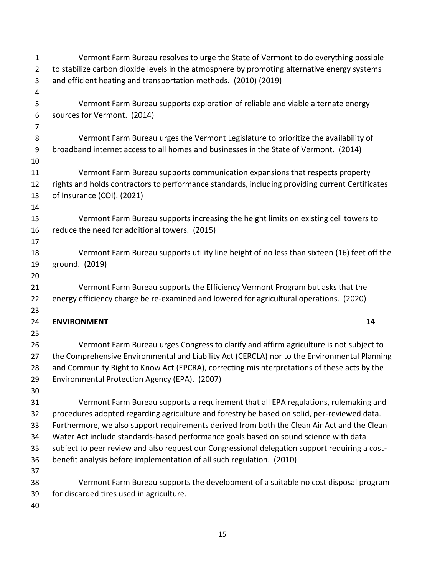| 1              | Vermont Farm Bureau resolves to urge the State of Vermont to do everything possible             |
|----------------|-------------------------------------------------------------------------------------------------|
| $\overline{2}$ | to stabilize carbon dioxide levels in the atmosphere by promoting alternative energy systems    |
| 3              | and efficient heating and transportation methods. (2010) (2019)                                 |
| 4              |                                                                                                 |
| 5              | Vermont Farm Bureau supports exploration of reliable and viable alternate energy                |
| 6              | sources for Vermont. (2014)                                                                     |
| 7              |                                                                                                 |
| 8              | Vermont Farm Bureau urges the Vermont Legislature to prioritize the availability of             |
| 9              | broadband internet access to all homes and businesses in the State of Vermont. (2014)           |
| 10             |                                                                                                 |
| 11             | Vermont Farm Bureau supports communication expansions that respects property                    |
| 12             | rights and holds contractors to performance standards, including providing current Certificates |
| 13             | of Insurance (COI). (2021)                                                                      |
| 14             |                                                                                                 |
| 15             | Vermont Farm Bureau supports increasing the height limits on existing cell towers to            |
| 16             | reduce the need for additional towers. (2015)                                                   |
| 17             |                                                                                                 |
| 18             | Vermont Farm Bureau supports utility line height of no less than sixteen (16) feet off the      |
| 19             | ground. (2019)                                                                                  |
| 20             |                                                                                                 |
| 21             | Vermont Farm Bureau supports the Efficiency Vermont Program but asks that the                   |
| 22             | energy efficiency charge be re-examined and lowered for agricultural operations. (2020)         |
| 23             |                                                                                                 |
| 24             | 14<br><b>ENVIRONMENT</b>                                                                        |
| 25             |                                                                                                 |
| 26             | Vermont Farm Bureau urges Congress to clarify and affirm agriculture is not subject to          |
| 27             | the Comprehensive Environmental and Liability Act (CERCLA) nor to the Environmental Planning    |
| 28             | and Community Right to Know Act (EPCRA), correcting misinterpretations of these acts by the     |
| 29             | Environmental Protection Agency (EPA). (2007)                                                   |
| 30             |                                                                                                 |
| 31             | Vermont Farm Bureau supports a requirement that all EPA regulations, rulemaking and             |
| 32             | procedures adopted regarding agriculture and forestry be based on solid, per-reviewed data.     |
| 33             | Furthermore, we also support requirements derived from both the Clean Air Act and the Clean     |
| 34             | Water Act include standards-based performance goals based on sound science with data            |
| 35             | subject to peer review and also request our Congressional delegation support requiring a cost-  |
| 36             | benefit analysis before implementation of all such regulation. (2010)                           |
| 37             |                                                                                                 |
| 38             | Vermont Farm Bureau supports the development of a suitable no cost disposal program             |
| 39             | for discarded tires used in agriculture.                                                        |
| 40             |                                                                                                 |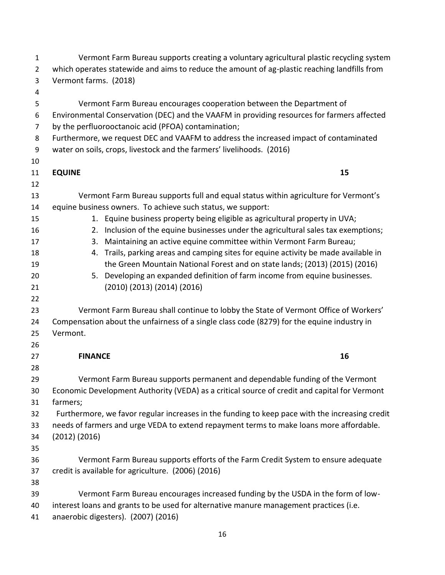| $\mathbf{1}$   | Vermont Farm Bureau supports creating a voluntary agricultural plastic recycling system        |  |  |
|----------------|------------------------------------------------------------------------------------------------|--|--|
| $\overline{2}$ | which operates statewide and aims to reduce the amount of ag-plastic reaching landfills from   |  |  |
| 3              | Vermont farms. (2018)                                                                          |  |  |
| 4              |                                                                                                |  |  |
| 5              | Vermont Farm Bureau encourages cooperation between the Department of                           |  |  |
| 6              | Environmental Conservation (DEC) and the VAAFM in providing resources for farmers affected     |  |  |
| 7              | by the perfluorooctanoic acid (PFOA) contamination;                                            |  |  |
| 8              | Furthermore, we request DEC and VAAFM to address the increased impact of contaminated          |  |  |
| 9              | water on soils, crops, livestock and the farmers' livelihoods. (2016)                          |  |  |
| 10             |                                                                                                |  |  |
| 11             | <b>EQUINE</b><br>15                                                                            |  |  |
| 12             |                                                                                                |  |  |
| 13             | Vermont Farm Bureau supports full and equal status within agriculture for Vermont's            |  |  |
| 14             | equine business owners. To achieve such status, we support:                                    |  |  |
| 15             | 1. Equine business property being eligible as agricultural property in UVA;                    |  |  |
| 16             | 2. Inclusion of the equine businesses under the agricultural sales tax exemptions;             |  |  |
| 17             | 3. Maintaining an active equine committee within Vermont Farm Bureau;                          |  |  |
| 18             | 4. Trails, parking areas and camping sites for equine activity be made available in            |  |  |
| 19             | the Green Mountain National Forest and on state lands; (2013) (2015) (2016)                    |  |  |
| 20             | 5. Developing an expanded definition of farm income from equine businesses.                    |  |  |
| 21             | $(2010)$ $(2013)$ $(2014)$ $(2016)$                                                            |  |  |
| 22             |                                                                                                |  |  |
| 23             | Vermont Farm Bureau shall continue to lobby the State of Vermont Office of Workers'            |  |  |
| 24             | Compensation about the unfairness of a single class code (8279) for the equine industry in     |  |  |
| 25             | Vermont.                                                                                       |  |  |
| 26             |                                                                                                |  |  |
| 27             | 16<br><b>FINANCE</b>                                                                           |  |  |
| 28             |                                                                                                |  |  |
| 29             | Vermont Farm Bureau supports permanent and dependable funding of the Vermont                   |  |  |
| 30             | Economic Development Authority (VEDA) as a critical source of credit and capital for Vermont   |  |  |
| 31             | farmers;                                                                                       |  |  |
| 32             | Furthermore, we favor regular increases in the funding to keep pace with the increasing credit |  |  |
| 33             | needs of farmers and urge VEDA to extend repayment terms to make loans more affordable.        |  |  |
| 34             | (2012) (2016)                                                                                  |  |  |
| 35             |                                                                                                |  |  |
| 36             | Vermont Farm Bureau supports efforts of the Farm Credit System to ensure adequate              |  |  |
| 37             | credit is available for agriculture. (2006) (2016)                                             |  |  |
| 38             |                                                                                                |  |  |
| 39             | Vermont Farm Bureau encourages increased funding by the USDA in the form of low-               |  |  |
| 40             | interest loans and grants to be used for alternative manure management practices (i.e.         |  |  |
| 41             | anaerobic digesters). (2007) (2016)                                                            |  |  |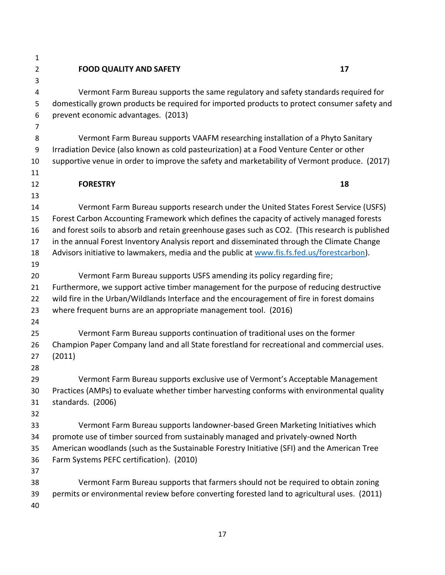| $\mathbf{1}$   |                                                                                                 |    |
|----------------|-------------------------------------------------------------------------------------------------|----|
| $\overline{2}$ | <b>FOOD QUALITY AND SAFETY</b>                                                                  | 17 |
| 3              |                                                                                                 |    |
| 4              | Vermont Farm Bureau supports the same regulatory and safety standards required for              |    |
| 5              | domestically grown products be required for imported products to protect consumer safety and    |    |
| 6              | prevent economic advantages. (2013)                                                             |    |
| $\overline{7}$ |                                                                                                 |    |
| 8              | Vermont Farm Bureau supports VAAFM researching installation of a Phyto Sanitary                 |    |
| 9              | Irradiation Device (also known as cold pasteurization) at a Food Venture Center or other        |    |
| 10             | supportive venue in order to improve the safety and marketability of Vermont produce. (2017)    |    |
| 11             |                                                                                                 |    |
| 12             | <b>FORESTRY</b>                                                                                 | 18 |
| 13             |                                                                                                 |    |
| 14             | Vermont Farm Bureau supports research under the United States Forest Service (USFS)             |    |
| 15             | Forest Carbon Accounting Framework which defines the capacity of actively managed forests       |    |
| 16             | and forest soils to absorb and retain greenhouse gases such as CO2. (This research is published |    |
| 17             | in the annual Forest Inventory Analysis report and disseminated through the Climate Change      |    |
| 18             | Advisors initiative to lawmakers, media and the public at www.fis.fs.fed.us/forestcarbon).      |    |
| 19             |                                                                                                 |    |
| 20             | Vermont Farm Bureau supports USFS amending its policy regarding fire;                           |    |
| 21             | Furthermore, we support active timber management for the purpose of reducing destructive        |    |
| 22             | wild fire in the Urban/Wildlands Interface and the encouragement of fire in forest domains      |    |
| 23             | where frequent burns are an appropriate management tool. (2016)                                 |    |
| 24             |                                                                                                 |    |
| 25             | Vermont Farm Bureau supports continuation of traditional uses on the former                     |    |
| 26             | Champion Paper Company land and all State forestland for recreational and commercial uses.      |    |
| 27             | (2011)                                                                                          |    |
| 28             |                                                                                                 |    |
| 29             | Vermont Farm Bureau supports exclusive use of Vermont's Acceptable Management                   |    |
| 30             | Practices (AMPs) to evaluate whether timber harvesting conforms with environmental quality      |    |
| 31             | standards. (2006)                                                                               |    |
| 32             |                                                                                                 |    |
| 33             | Vermont Farm Bureau supports landowner-based Green Marketing Initiatives which                  |    |
| 34             | promote use of timber sourced from sustainably managed and privately-owned North                |    |
| 35             | American woodlands (such as the Sustainable Forestry Initiative (SFI) and the American Tree     |    |
| 36             | Farm Systems PEFC certification). (2010)                                                        |    |
| 37             | Vermont Farm Bureau supports that farmers should not be required to obtain zoning               |    |
| 38             |                                                                                                 |    |
| 39             | permits or environmental review before converting forested land to agricultural uses. (2011)    |    |
| 40             |                                                                                                 |    |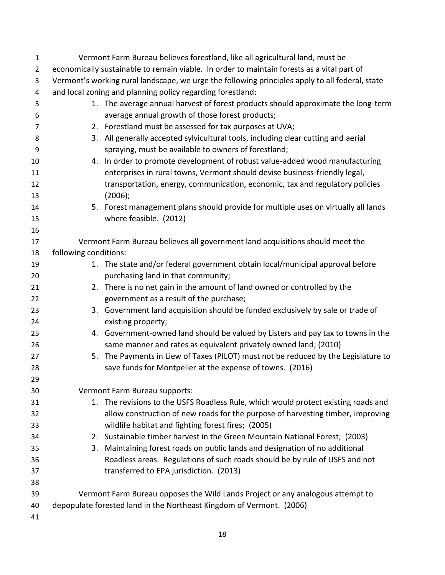| $\mathbf{1}$   | Vermont Farm Bureau believes forestland, like all agricultural land, must be                    |                                                                                    |  |
|----------------|-------------------------------------------------------------------------------------------------|------------------------------------------------------------------------------------|--|
| $\overline{2}$ | economically sustainable to remain viable. In order to maintain forests as a vital part of      |                                                                                    |  |
| 3              | Vermont's working rural landscape, we urge the following principles apply to all federal, state |                                                                                    |  |
| $\overline{a}$ | and local zoning and planning policy regarding forestland:                                      |                                                                                    |  |
| 5              |                                                                                                 | 1. The average annual harvest of forest products should approximate the long-term  |  |
| 6              |                                                                                                 | average annual growth of those forest products;                                    |  |
| 7              |                                                                                                 | 2. Forestland must be assessed for tax purposes at UVA;                            |  |
| 8              |                                                                                                 | 3. All generally accepted sylvicultural tools, including clear cutting and aerial  |  |
| 9              |                                                                                                 | spraying, must be available to owners of forestland;                               |  |
| 10             |                                                                                                 | 4. In order to promote development of robust value-added wood manufacturing        |  |
| 11             |                                                                                                 | enterprises in rural towns, Vermont should devise business-friendly legal,         |  |
| 12             |                                                                                                 | transportation, energy, communication, economic, tax and regulatory policies       |  |
| 13             |                                                                                                 | (2006);                                                                            |  |
| 14             |                                                                                                 | 5. Forest management plans should provide for multiple uses on virtually all lands |  |
| 15             |                                                                                                 | where feasible. (2012)                                                             |  |
| 16             |                                                                                                 |                                                                                    |  |
| 17             |                                                                                                 | Vermont Farm Bureau believes all government land acquisitions should meet the      |  |
| 18             | following conditions:                                                                           |                                                                                    |  |
| 19             |                                                                                                 | 1. The state and/or federal government obtain local/municipal approval before      |  |
| 20             |                                                                                                 | purchasing land in that community;                                                 |  |
| 21             |                                                                                                 | 2. There is no net gain in the amount of land owned or controlled by the           |  |
| 22             |                                                                                                 | government as a result of the purchase;                                            |  |
| 23             |                                                                                                 | 3. Government land acquisition should be funded exclusively by sale or trade of    |  |
| 24             |                                                                                                 | existing property;                                                                 |  |
| 25             |                                                                                                 | 4. Government-owned land should be valued by Listers and pay tax to towns in the   |  |
| 26             |                                                                                                 | same manner and rates as equivalent privately owned land; (2010)                   |  |
| 27             |                                                                                                 | 5. The Payments in Liew of Taxes (PILOT) must not be reduced by the Legislature to |  |
| 28             |                                                                                                 | save funds for Montpelier at the expense of towns. (2016)                          |  |
| 29             |                                                                                                 |                                                                                    |  |
| 30             |                                                                                                 | Vermont Farm Bureau supports:                                                      |  |
| 31             |                                                                                                 | 1. The revisions to the USFS Roadless Rule, which would protect existing roads and |  |
| 32             |                                                                                                 | allow construction of new roads for the purpose of harvesting timber, improving    |  |
| 33             |                                                                                                 | wildlife habitat and fighting forest fires; (2005)                                 |  |
| 34             |                                                                                                 | 2. Sustainable timber harvest in the Green Mountain National Forest; (2003)        |  |
| 35             |                                                                                                 | 3. Maintaining forest roads on public lands and designation of no additional       |  |
| 36             |                                                                                                 | Roadless areas. Regulations of such roads should be by rule of USFS and not        |  |
| 37             |                                                                                                 | transferred to EPA jurisdiction. (2013)                                            |  |
| 38             |                                                                                                 |                                                                                    |  |
| 39             |                                                                                                 | Vermont Farm Bureau opposes the Wild Lands Project or any analogous attempt to     |  |
| 40             |                                                                                                 | depopulate forested land in the Northeast Kingdom of Vermont. (2006)               |  |
| 41             |                                                                                                 |                                                                                    |  |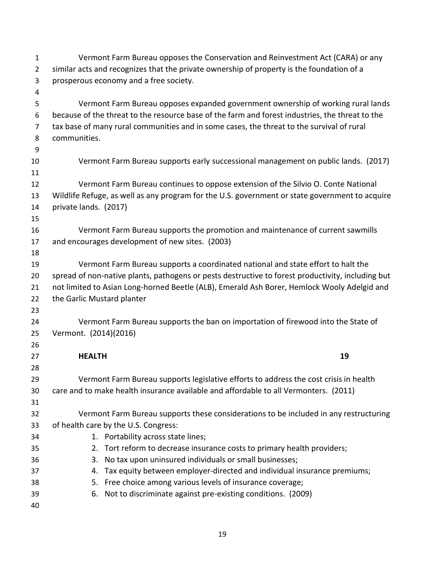| $\mathbf{1}$   | Vermont Farm Bureau opposes the Conservation and Reinvestment Act (CARA) or any                   |  |  |
|----------------|---------------------------------------------------------------------------------------------------|--|--|
| $\overline{2}$ | similar acts and recognizes that the private ownership of property is the foundation of a         |  |  |
| 3              | prosperous economy and a free society.                                                            |  |  |
| 4              |                                                                                                   |  |  |
| 5              | Vermont Farm Bureau opposes expanded government ownership of working rural lands                  |  |  |
| 6              | because of the threat to the resource base of the farm and forest industries, the threat to the   |  |  |
| 7              | tax base of many rural communities and in some cases, the threat to the survival of rural         |  |  |
| 8              | communities.                                                                                      |  |  |
| 9              |                                                                                                   |  |  |
| 10             | Vermont Farm Bureau supports early successional management on public lands. (2017)                |  |  |
| 11             |                                                                                                   |  |  |
| 12             | Vermont Farm Bureau continues to oppose extension of the Silvio O. Conte National                 |  |  |
| 13             | Wildlife Refuge, as well as any program for the U.S. government or state government to acquire    |  |  |
| 14             | private lands. (2017)                                                                             |  |  |
| 15             |                                                                                                   |  |  |
| 16             | Vermont Farm Bureau supports the promotion and maintenance of current sawmills                    |  |  |
| 17             | and encourages development of new sites. (2003)                                                   |  |  |
| 18             |                                                                                                   |  |  |
| 19             | Vermont Farm Bureau supports a coordinated national and state effort to halt the                  |  |  |
| 20             | spread of non-native plants, pathogens or pests destructive to forest productivity, including but |  |  |
| 21             | not limited to Asian Long-horned Beetle (ALB), Emerald Ash Borer, Hemlock Wooly Adelgid and       |  |  |
| 22             | the Garlic Mustard planter                                                                        |  |  |
| 23             |                                                                                                   |  |  |
| 24             | Vermont Farm Bureau supports the ban on importation of firewood into the State of                 |  |  |
| 25             | Vermont. (2014)(2016)                                                                             |  |  |
| 26             |                                                                                                   |  |  |
| 27             | 19<br><b>HEALTH</b>                                                                               |  |  |
| 28             |                                                                                                   |  |  |
| 29             | Vermont Farm Bureau supports legislative efforts to address the cost crisis in health             |  |  |
| 30             | care and to make health insurance available and affordable to all Vermonters. (2011)              |  |  |
| 31             |                                                                                                   |  |  |
| 32             | Vermont Farm Bureau supports these considerations to be included in any restructuring             |  |  |
| 33             | of health care by the U.S. Congress:                                                              |  |  |
| 34             | 1. Portability across state lines;                                                                |  |  |
| 35             | 2. Tort reform to decrease insurance costs to primary health providers;                           |  |  |
| 36             | 3. No tax upon uninsured individuals or small businesses;                                         |  |  |
| 37             | 4. Tax equity between employer-directed and individual insurance premiums;                        |  |  |
| 38             | 5. Free choice among various levels of insurance coverage;                                        |  |  |
| 39<br>40       | 6. Not to discriminate against pre-existing conditions. (2009)                                    |  |  |
|                |                                                                                                   |  |  |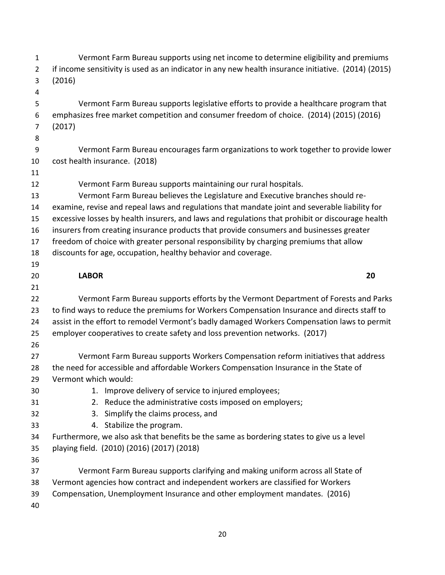| $\mathbf{1}$   | Vermont Farm Bureau supports using net income to determine eligibility and premiums                 |
|----------------|-----------------------------------------------------------------------------------------------------|
| $\overline{2}$ | if income sensitivity is used as an indicator in any new health insurance initiative. (2014) (2015) |
| 3              | (2016)                                                                                              |
| 4              |                                                                                                     |
| 5              | Vermont Farm Bureau supports legislative efforts to provide a healthcare program that               |
| 6              | emphasizes free market competition and consumer freedom of choice. (2014) (2015) (2016)             |
| $\overline{7}$ | (2017)                                                                                              |
| 8              |                                                                                                     |
| 9              | Vermont Farm Bureau encourages farm organizations to work together to provide lower                 |
| 10             | cost health insurance. (2018)                                                                       |
| 11             |                                                                                                     |
| 12             | Vermont Farm Bureau supports maintaining our rural hospitals.                                       |
| 13             | Vermont Farm Bureau believes the Legislature and Executive branches should re-                      |
| 14             | examine, revise and repeal laws and regulations that mandate joint and severable liability for      |
| 15             | excessive losses by health insurers, and laws and regulations that prohibit or discourage health    |
| 16             | insurers from creating insurance products that provide consumers and businesses greater             |
| 17             | freedom of choice with greater personal responsibility by charging premiums that allow              |
| 18             | discounts for age, occupation, healthy behavior and coverage.                                       |
| 19             |                                                                                                     |
| 20             | 20<br><b>LABOR</b>                                                                                  |
|                |                                                                                                     |
| 21             |                                                                                                     |
| 22             | Vermont Farm Bureau supports efforts by the Vermont Department of Forests and Parks                 |
| 23             | to find ways to reduce the premiums for Workers Compensation Insurance and directs staff to         |
| 24             | assist in the effort to remodel Vermont's badly damaged Workers Compensation laws to permit         |
| 25             | employer cooperatives to create safety and loss prevention networks. (2017)                         |
| 26             |                                                                                                     |
| 27             | Vermont Farm Bureau supports Workers Compensation reform initiatives that address                   |
| 28             | the need for accessible and affordable Workers Compensation Insurance in the State of               |
| 29             | Vermont which would:                                                                                |
| 30             | 1. Improve delivery of service to injured employees;                                                |
| 31             | 2. Reduce the administrative costs imposed on employers;                                            |
| 32             | Simplify the claims process, and<br>3.                                                              |
| 33             | 4. Stabilize the program.                                                                           |
| 34             | Furthermore, we also ask that benefits be the same as bordering states to give us a level           |
| 35             | playing field. (2010) (2016) (2017) (2018)                                                          |
| 36             |                                                                                                     |
| 37             | Vermont Farm Bureau supports clarifying and making uniform across all State of                      |
| 38             | Vermont agencies how contract and independent workers are classified for Workers                    |
| 39             | Compensation, Unemployment Insurance and other employment mandates. (2016)                          |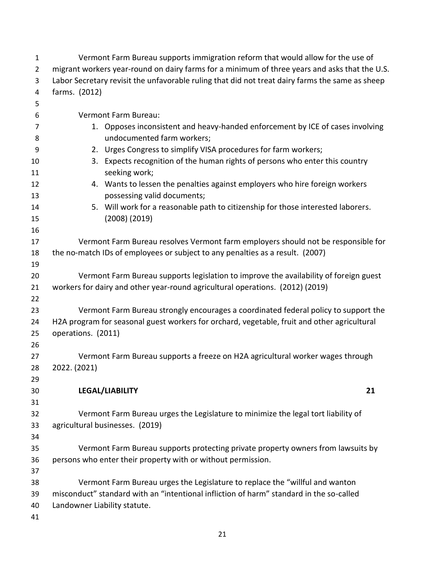| 1              | Vermont Farm Bureau supports immigration reform that would allow for the use of                                         |                                                                                                            |  |
|----------------|-------------------------------------------------------------------------------------------------------------------------|------------------------------------------------------------------------------------------------------------|--|
| $\overline{2}$ | migrant workers year-round on dairy farms for a minimum of three years and asks that the U.S.                           |                                                                                                            |  |
| 3              | Labor Secretary revisit the unfavorable ruling that did not treat dairy farms the same as sheep                         |                                                                                                            |  |
| 4              | farms. (2012)                                                                                                           |                                                                                                            |  |
| 5              |                                                                                                                         |                                                                                                            |  |
| 6              |                                                                                                                         | Vermont Farm Bureau:                                                                                       |  |
| 7              |                                                                                                                         | 1. Opposes inconsistent and heavy-handed enforcement by ICE of cases involving                             |  |
| 8              |                                                                                                                         | undocumented farm workers;                                                                                 |  |
| 9              |                                                                                                                         | 2. Urges Congress to simplify VISA procedures for farm workers;                                            |  |
| 10<br>11       |                                                                                                                         | 3. Expects recognition of the human rights of persons who enter this country<br>seeking work;              |  |
| 12<br>13       |                                                                                                                         | 4. Wants to lessen the penalties against employers who hire foreign workers<br>possessing valid documents; |  |
| 14             |                                                                                                                         | 5. Will work for a reasonable path to citizenship for those interested laborers.                           |  |
| 15             |                                                                                                                         | $(2008)$ $(2019)$                                                                                          |  |
| 16             |                                                                                                                         |                                                                                                            |  |
| 17             |                                                                                                                         | Vermont Farm Bureau resolves Vermont farm employers should not be responsible for                          |  |
| 18             |                                                                                                                         | the no-match IDs of employees or subject to any penalties as a result. (2007)                              |  |
| 19             |                                                                                                                         |                                                                                                            |  |
| 20             |                                                                                                                         | Vermont Farm Bureau supports legislation to improve the availability of foreign guest                      |  |
| 21             | workers for dairy and other year-round agricultural operations. (2012) (2019)                                           |                                                                                                            |  |
| 22             |                                                                                                                         |                                                                                                            |  |
| 23             |                                                                                                                         | Vermont Farm Bureau strongly encourages a coordinated federal policy to support the                        |  |
| 24             | H2A program for seasonal guest workers for orchard, vegetable, fruit and other agricultural                             |                                                                                                            |  |
| 25             | operations. (2011)                                                                                                      |                                                                                                            |  |
| 26             |                                                                                                                         |                                                                                                            |  |
| 27             | Vermont Farm Bureau supports a freeze on H2A agricultural worker wages through                                          |                                                                                                            |  |
| 28             | 2022. (2021)                                                                                                            |                                                                                                            |  |
| 29             |                                                                                                                         |                                                                                                            |  |
| 30             |                                                                                                                         | LEGAL/LIABILITY<br>21                                                                                      |  |
| 31             |                                                                                                                         |                                                                                                            |  |
| 32             |                                                                                                                         | Vermont Farm Bureau urges the Legislature to minimize the legal tort liability of                          |  |
| 33             | agricultural businesses. (2019)                                                                                         |                                                                                                            |  |
| 34             |                                                                                                                         |                                                                                                            |  |
| 35             |                                                                                                                         | Vermont Farm Bureau supports protecting private property owners from lawsuits by                           |  |
| 36             |                                                                                                                         | persons who enter their property with or without permission.                                               |  |
| 37             |                                                                                                                         |                                                                                                            |  |
| 38             |                                                                                                                         | Vermont Farm Bureau urges the Legislature to replace the "willful and wanton                               |  |
| 39             | misconduct" standard with an "intentional infliction of harm" standard in the so-called<br>Landowner Liability statute. |                                                                                                            |  |
| 40<br>41       |                                                                                                                         |                                                                                                            |  |
|                |                                                                                                                         |                                                                                                            |  |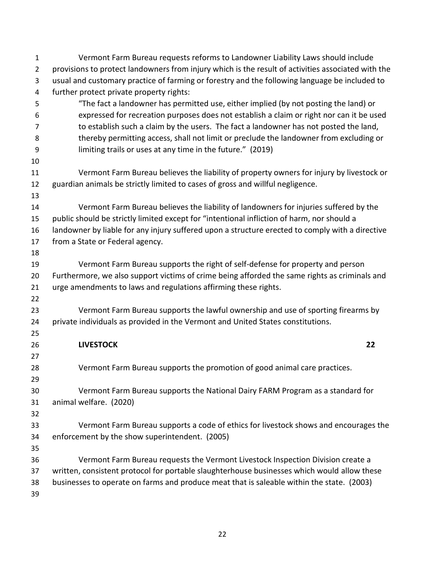| $\mathbf{1}$   | Vermont Farm Bureau requests reforms to Landowner Liability Laws should include                    |
|----------------|----------------------------------------------------------------------------------------------------|
| $\overline{2}$ | provisions to protect landowners from injury which is the result of activities associated with the |
| 3              | usual and customary practice of farming or forestry and the following language be included to      |
| 4              | further protect private property rights:                                                           |
| 5              | "The fact a landowner has permitted use, either implied (by not posting the land) or               |
| 6              | expressed for recreation purposes does not establish a claim or right nor can it be used           |
| 7              | to establish such a claim by the users. The fact a landowner has not posted the land,              |
| 8              | thereby permitting access, shall not limit or preclude the landowner from excluding or             |
| 9              | limiting trails or uses at any time in the future." (2019)                                         |
| 10             |                                                                                                    |
| 11             | Vermont Farm Bureau believes the liability of property owners for injury by livestock or           |
| 12             | guardian animals be strictly limited to cases of gross and willful negligence.                     |
| 13             |                                                                                                    |
| 14             | Vermont Farm Bureau believes the liability of landowners for injuries suffered by the              |
| 15             | public should be strictly limited except for "intentional infliction of harm, nor should a         |
| 16             | landowner by liable for any injury suffered upon a structure erected to comply with a directive    |
| 17             | from a State or Federal agency.                                                                    |
| 18             |                                                                                                    |
| 19             | Vermont Farm Bureau supports the right of self-defense for property and person                     |
| 20             | Furthermore, we also support victims of crime being afforded the same rights as criminals and      |
| 21             | urge amendments to laws and regulations affirming these rights.                                    |
| 22             |                                                                                                    |
| 23             | Vermont Farm Bureau supports the lawful ownership and use of sporting firearms by                  |
| 24             | private individuals as provided in the Vermont and United States constitutions.                    |
| 25             |                                                                                                    |
| 26             | <b>LIVESTOCK</b><br>22                                                                             |
| 27             |                                                                                                    |
| 28<br>29       | Vermont Farm Bureau supports the promotion of good animal care practices.                          |
| 30             | Vermont Farm Bureau supports the National Dairy FARM Program as a standard for                     |
| 31             | animal welfare. (2020)                                                                             |
| 32             |                                                                                                    |
| 33             | Vermont Farm Bureau supports a code of ethics for livestock shows and encourages the               |
| 34             | enforcement by the show superintendent. (2005)                                                     |
| 35             |                                                                                                    |
| 36             | Vermont Farm Bureau requests the Vermont Livestock Inspection Division create a                    |
| 37             | written, consistent protocol for portable slaughterhouse businesses which would allow these        |
| 38             | businesses to operate on farms and produce meat that is saleable within the state. (2003)          |
| 39             |                                                                                                    |
|                |                                                                                                    |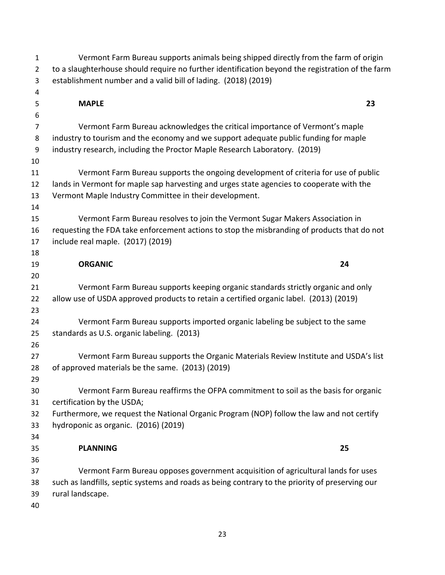| 1              | Vermont Farm Bureau supports animals being shipped directly from the farm of origin              |  |  |
|----------------|--------------------------------------------------------------------------------------------------|--|--|
| $\overline{2}$ | to a slaughterhouse should require no further identification beyond the registration of the farm |  |  |
| 3              | establishment number and a valid bill of lading. (2018) (2019)                                   |  |  |
| 4              |                                                                                                  |  |  |
| 5              | <b>MAPLE</b><br>23                                                                               |  |  |
| 6              |                                                                                                  |  |  |
| 7              | Vermont Farm Bureau acknowledges the critical importance of Vermont's maple                      |  |  |
| 8              | industry to tourism and the economy and we support adequate public funding for maple             |  |  |
| 9              | industry research, including the Proctor Maple Research Laboratory. (2019)                       |  |  |
| 10             |                                                                                                  |  |  |
| 11             | Vermont Farm Bureau supports the ongoing development of criteria for use of public               |  |  |
| 12             | lands in Vermont for maple sap harvesting and urges state agencies to cooperate with the         |  |  |
| 13<br>14       | Vermont Maple Industry Committee in their development.                                           |  |  |
| 15             | Vermont Farm Bureau resolves to join the Vermont Sugar Makers Association in                     |  |  |
| 16             | requesting the FDA take enforcement actions to stop the misbranding of products that do not      |  |  |
| 17             | include real maple. (2017) (2019)                                                                |  |  |
| 18             |                                                                                                  |  |  |
| 19             | <b>ORGANIC</b><br>24                                                                             |  |  |
| 20             |                                                                                                  |  |  |
| 21             | Vermont Farm Bureau supports keeping organic standards strictly organic and only                 |  |  |
| 22             | allow use of USDA approved products to retain a certified organic label. (2013) (2019)           |  |  |
| 23             |                                                                                                  |  |  |
| 24             | Vermont Farm Bureau supports imported organic labeling be subject to the same                    |  |  |
| 25             | standards as U.S. organic labeling. (2013)                                                       |  |  |
| 26             |                                                                                                  |  |  |
| 27             | Vermont Farm Bureau supports the Organic Materials Review Institute and USDA's list              |  |  |
| 28             | of approved materials be the same. (2013) (2019)                                                 |  |  |
| 29             |                                                                                                  |  |  |
| 30             | Vermont Farm Bureau reaffirms the OFPA commitment to soil as the basis for organic               |  |  |
| 31             | certification by the USDA;                                                                       |  |  |
| 32             | Furthermore, we request the National Organic Program (NOP) follow the law and not certify        |  |  |
| 33             | hydroponic as organic. (2016) (2019)                                                             |  |  |
| 34             | 25<br><b>PLANNING</b>                                                                            |  |  |
| 35<br>36       |                                                                                                  |  |  |
| 37             | Vermont Farm Bureau opposes government acquisition of agricultural lands for uses                |  |  |
| 38             | such as landfills, septic systems and roads as being contrary to the priority of preserving our  |  |  |
| 39             | rural landscape.                                                                                 |  |  |
| 40             |                                                                                                  |  |  |
|                |                                                                                                  |  |  |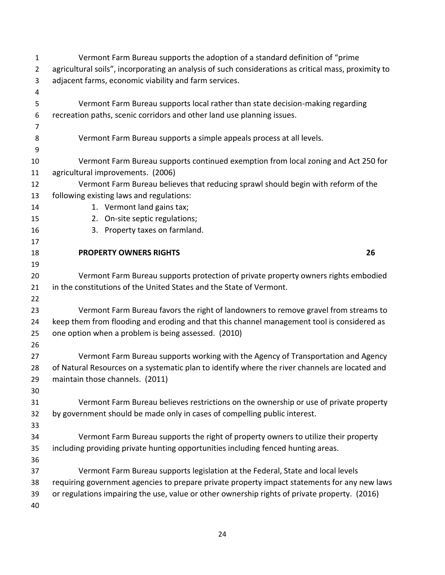| $\mathbf{1}$   | Vermont Farm Bureau supports the adoption of a standard definition of "prime"                        |                                                                                               |    |
|----------------|------------------------------------------------------------------------------------------------------|-----------------------------------------------------------------------------------------------|----|
| $\overline{2}$ | agricultural soils", incorporating an analysis of such considerations as critical mass, proximity to |                                                                                               |    |
| 3              | adjacent farms, economic viability and farm services.                                                |                                                                                               |    |
| 4              |                                                                                                      |                                                                                               |    |
| 5              |                                                                                                      | Vermont Farm Bureau supports local rather than state decision-making regarding                |    |
| 6              |                                                                                                      | recreation paths, scenic corridors and other land use planning issues.                        |    |
| 7              |                                                                                                      |                                                                                               |    |
| 8              |                                                                                                      | Vermont Farm Bureau supports a simple appeals process at all levels.                          |    |
| 9              |                                                                                                      |                                                                                               |    |
| 10             |                                                                                                      | Vermont Farm Bureau supports continued exemption from local zoning and Act 250 for            |    |
| 11             |                                                                                                      | agricultural improvements. (2006)                                                             |    |
| 12             | Vermont Farm Bureau believes that reducing sprawl should begin with reform of the                    |                                                                                               |    |
| 13             |                                                                                                      | following existing laws and regulations:                                                      |    |
| 14             |                                                                                                      | 1. Vermont land gains tax;                                                                    |    |
| 15             |                                                                                                      | 2. On-site septic regulations;                                                                |    |
| 16             |                                                                                                      | 3. Property taxes on farmland.                                                                |    |
| 17             |                                                                                                      |                                                                                               |    |
| 18             |                                                                                                      | <b>PROPERTY OWNERS RIGHTS</b>                                                                 | 26 |
| 19             |                                                                                                      |                                                                                               |    |
| 20             |                                                                                                      | Vermont Farm Bureau supports protection of private property owners rights embodied            |    |
| 21             |                                                                                                      | in the constitutions of the United States and the State of Vermont.                           |    |
| 22             |                                                                                                      |                                                                                               |    |
| 23             |                                                                                                      | Vermont Farm Bureau favors the right of landowners to remove gravel from streams to           |    |
| 24             | keep them from flooding and eroding and that this channel management tool is considered as           |                                                                                               |    |
| 25             |                                                                                                      | one option when a problem is being assessed. (2010)                                           |    |
| 26             |                                                                                                      |                                                                                               |    |
| 27             |                                                                                                      | Vermont Farm Bureau supports working with the Agency of Transportation and Agency             |    |
| 28             | of Natural Resources on a systematic plan to identify where the river channels are located and       |                                                                                               |    |
| 29             |                                                                                                      | maintain those channels. (2011)                                                               |    |
| 30             |                                                                                                      |                                                                                               |    |
| 31             |                                                                                                      | Vermont Farm Bureau believes restrictions on the ownership or use of private property         |    |
| 32             |                                                                                                      | by government should be made only in cases of compelling public interest.                     |    |
| 33             |                                                                                                      |                                                                                               |    |
| 34             |                                                                                                      | Vermont Farm Bureau supports the right of property owners to utilize their property           |    |
| 35             |                                                                                                      | including providing private hunting opportunities including fenced hunting areas.             |    |
| 36             |                                                                                                      |                                                                                               |    |
| 37             |                                                                                                      | Vermont Farm Bureau supports legislation at the Federal, State and local levels               |    |
| 38             |                                                                                                      | requiring government agencies to prepare private property impact statements for any new laws  |    |
| 39             |                                                                                                      | or regulations impairing the use, value or other ownership rights of private property. (2016) |    |
| 40             |                                                                                                      |                                                                                               |    |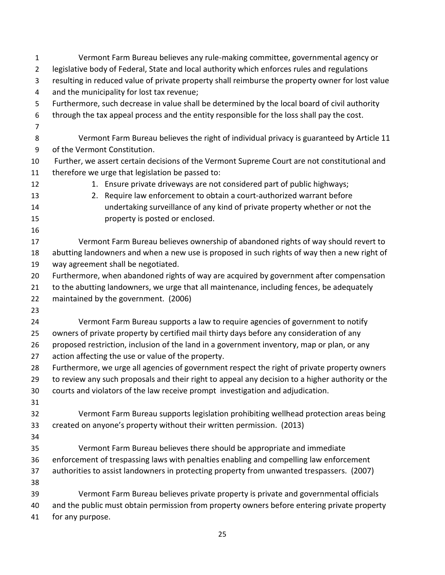| $\mathbf{1}$   | Vermont Farm Bureau believes any rule-making committee, governmental agency or                   |  |  |
|----------------|--------------------------------------------------------------------------------------------------|--|--|
| $\overline{2}$ | legislative body of Federal, State and local authority which enforces rules and regulations      |  |  |
| 3              | resulting in reduced value of private property shall reimburse the property owner for lost value |  |  |
| 4              | and the municipality for lost tax revenue;                                                       |  |  |
| 5              | Furthermore, such decrease in value shall be determined by the local board of civil authority    |  |  |
| 6              | through the tax appeal process and the entity responsible for the loss shall pay the cost.       |  |  |
| $\overline{7}$ |                                                                                                  |  |  |
| 8              | Vermont Farm Bureau believes the right of individual privacy is guaranteed by Article 11         |  |  |
| 9              | of the Vermont Constitution.                                                                     |  |  |
| 10             | Further, we assert certain decisions of the Vermont Supreme Court are not constitutional and     |  |  |
| 11             | therefore we urge that legislation be passed to:                                                 |  |  |
| 12             | 1. Ensure private driveways are not considered part of public highways;                          |  |  |
| 13             | Require law enforcement to obtain a court-authorized warrant before<br>2.                        |  |  |
| 14             | undertaking surveillance of any kind of private property whether or not the                      |  |  |
| 15             | property is posted or enclosed.                                                                  |  |  |
| 16             |                                                                                                  |  |  |
| 17             | Vermont Farm Bureau believes ownership of abandoned rights of way should revert to               |  |  |
| 18             | abutting landowners and when a new use is proposed in such rights of way then a new right of     |  |  |
| 19             | way agreement shall be negotiated.                                                               |  |  |
| 20             | Furthermore, when abandoned rights of way are acquired by government after compensation          |  |  |
| 21             | to the abutting landowners, we urge that all maintenance, including fences, be adequately        |  |  |
| 22             | maintained by the government. (2006)                                                             |  |  |
| 23             |                                                                                                  |  |  |
| 24             | Vermont Farm Bureau supports a law to require agencies of government to notify                   |  |  |
| 25             | owners of private property by certified mail thirty days before any consideration of any         |  |  |
| 26             | proposed restriction, inclusion of the land in a government inventory, map or plan, or any       |  |  |
| 27             | action affecting the use or value of the property.                                               |  |  |
| 28             | Furthermore, we urge all agencies of government respect the right of private property owners     |  |  |
| 29             | to review any such proposals and their right to appeal any decision to a higher authority or the |  |  |
| 30             | courts and violators of the law receive prompt investigation and adjudication.                   |  |  |
| 31             |                                                                                                  |  |  |
| 32             | Vermont Farm Bureau supports legislation prohibiting wellhead protection areas being             |  |  |
| 33             | created on anyone's property without their written permission. (2013)                            |  |  |
| 34             |                                                                                                  |  |  |
| 35             | Vermont Farm Bureau believes there should be appropriate and immediate                           |  |  |
| 36             | enforcement of trespassing laws with penalties enabling and compelling law enforcement           |  |  |
| 37             | authorities to assist landowners in protecting property from unwanted trespassers. (2007)        |  |  |
| 38             |                                                                                                  |  |  |
| 39             | Vermont Farm Bureau believes private property is private and governmental officials              |  |  |
| 40             | and the public must obtain permission from property owners before entering private property      |  |  |
| 41             | for any purpose.                                                                                 |  |  |
|                |                                                                                                  |  |  |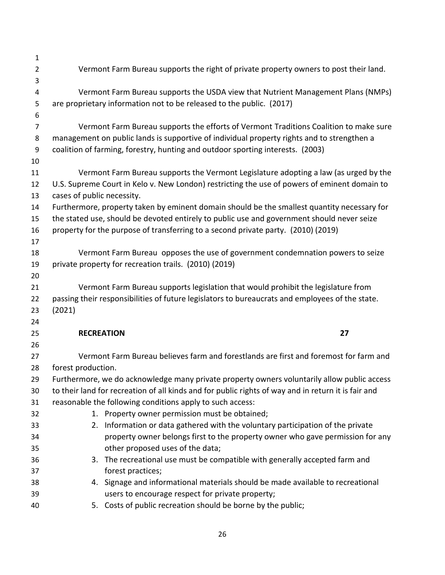| 1                   |                                                                                                                                                                                     |  |  |
|---------------------|-------------------------------------------------------------------------------------------------------------------------------------------------------------------------------------|--|--|
| $\overline{2}$      | Vermont Farm Bureau supports the right of private property owners to post their land.                                                                                               |  |  |
| 3                   |                                                                                                                                                                                     |  |  |
| $\overline{4}$      | Vermont Farm Bureau supports the USDA view that Nutrient Management Plans (NMPs)                                                                                                    |  |  |
| 5                   | are proprietary information not to be released to the public. (2017)                                                                                                                |  |  |
| 6                   |                                                                                                                                                                                     |  |  |
| $\overline{7}$<br>8 | Vermont Farm Bureau supports the efforts of Vermont Traditions Coalition to make sure<br>management on public lands is supportive of individual property rights and to strengthen a |  |  |
| 9                   | coalition of farming, forestry, hunting and outdoor sporting interests. (2003)                                                                                                      |  |  |
| 10                  |                                                                                                                                                                                     |  |  |
| 11                  | Vermont Farm Bureau supports the Vermont Legislature adopting a law (as urged by the                                                                                                |  |  |
| 12                  | U.S. Supreme Court in Kelo v. New London) restricting the use of powers of eminent domain to                                                                                        |  |  |
| 13                  | cases of public necessity.                                                                                                                                                          |  |  |
| 14                  | Furthermore, property taken by eminent domain should be the smallest quantity necessary for                                                                                         |  |  |
| 15                  | the stated use, should be devoted entirely to public use and government should never seize                                                                                          |  |  |
| 16                  | property for the purpose of transferring to a second private party. (2010) (2019)                                                                                                   |  |  |
| 17                  |                                                                                                                                                                                     |  |  |
| 18                  | Vermont Farm Bureau opposes the use of government condemnation powers to seize                                                                                                      |  |  |
| 19                  | private property for recreation trails. (2010) (2019)                                                                                                                               |  |  |
| 20                  |                                                                                                                                                                                     |  |  |
| 21                  | Vermont Farm Bureau supports legislation that would prohibit the legislature from                                                                                                   |  |  |
| 22                  | passing their responsibilities of future legislators to bureaucrats and employees of the state.                                                                                     |  |  |
| 23<br>24            | (2021)                                                                                                                                                                              |  |  |
| 25                  | 27<br><b>RECREATION</b>                                                                                                                                                             |  |  |
| 26                  |                                                                                                                                                                                     |  |  |
| 27                  | Vermont Farm Bureau believes farm and forestlands are first and foremost for farm and                                                                                               |  |  |
| 28                  | forest production.                                                                                                                                                                  |  |  |
| 29                  | Furthermore, we do acknowledge many private property owners voluntarily allow public access                                                                                         |  |  |
| 30                  | to their land for recreation of all kinds and for public rights of way and in return it is fair and                                                                                 |  |  |
| 31                  | reasonable the following conditions apply to such access:                                                                                                                           |  |  |
| 32                  | 1. Property owner permission must be obtained;                                                                                                                                      |  |  |
| 33                  | 2. Information or data gathered with the voluntary participation of the private                                                                                                     |  |  |
| 34                  | property owner belongs first to the property owner who gave permission for any                                                                                                      |  |  |
| 35                  | other proposed uses of the data;                                                                                                                                                    |  |  |
| 36                  | 3. The recreational use must be compatible with generally accepted farm and                                                                                                         |  |  |
| 37                  | forest practices;                                                                                                                                                                   |  |  |
| 38                  | 4. Signage and informational materials should be made available to recreational                                                                                                     |  |  |
| 39                  | users to encourage respect for private property;                                                                                                                                    |  |  |
| 40                  | 5. Costs of public recreation should be borne by the public;                                                                                                                        |  |  |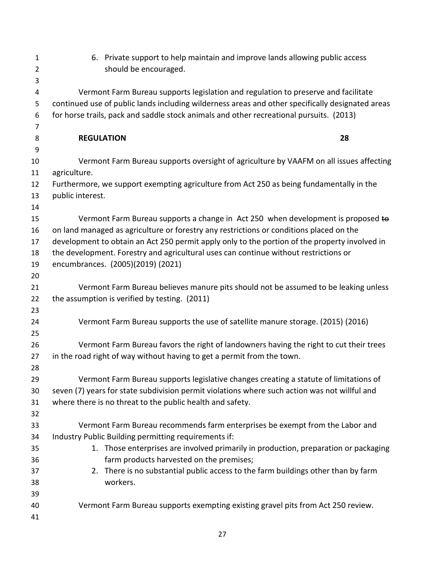| $\mathbf{1}$   |                   | 6. Private support to help maintain and improve lands allowing public access                     |    |
|----------------|-------------------|--------------------------------------------------------------------------------------------------|----|
| $\overline{2}$ |                   | should be encouraged.                                                                            |    |
| 3              |                   |                                                                                                  |    |
| 4              |                   | Vermont Farm Bureau supports legislation and regulation to preserve and facilitate               |    |
| 5              |                   | continued use of public lands including wilderness areas and other specifically designated areas |    |
| 6              |                   | for horse trails, pack and saddle stock animals and other recreational pursuits. (2013)          |    |
| 7              |                   |                                                                                                  |    |
| 8              | <b>REGULATION</b> |                                                                                                  | 28 |
| 9<br>10        |                   |                                                                                                  |    |
| 11             | agriculture.      | Vermont Farm Bureau supports oversight of agriculture by VAAFM on all issues affecting           |    |
| 12             |                   | Furthermore, we support exempting agriculture from Act 250 as being fundamentally in the         |    |
| 13             | public interest.  |                                                                                                  |    |
| 14             |                   |                                                                                                  |    |
| 15             |                   | Vermont Farm Bureau supports a change in Act 250 when development is proposed to                 |    |
| 16             |                   | on land managed as agriculture or forestry any restrictions or conditions placed on the          |    |
| 17             |                   | development to obtain an Act 250 permit apply only to the portion of the property involved in    |    |
| 18             |                   | the development. Forestry and agricultural uses can continue without restrictions or             |    |
| 19             |                   | encumbrances. (2005)(2019) (2021)                                                                |    |
| 20             |                   |                                                                                                  |    |
| 21             |                   | Vermont Farm Bureau believes manure pits should not be assumed to be leaking unless              |    |
| 22             |                   | the assumption is verified by testing. (2011)                                                    |    |
| 23             |                   |                                                                                                  |    |
| 24             |                   | Vermont Farm Bureau supports the use of satellite manure storage. (2015) (2016)                  |    |
| 25             |                   |                                                                                                  |    |
| 26             |                   | Vermont Farm Bureau favors the right of landowners having the right to cut their trees           |    |
| 27<br>28       |                   | in the road right of way without having to get a permit from the town.                           |    |
| 29             |                   | Vermont Farm Bureau supports legislative changes creating a statute of limitations of            |    |
| 30             |                   | seven (7) years for state subdivision permit violations where such action was not willful and    |    |
| 31             |                   | where there is no threat to the public health and safety.                                        |    |
| 32             |                   |                                                                                                  |    |
| 33             |                   | Vermont Farm Bureau recommends farm enterprises be exempt from the Labor and                     |    |
| 34             |                   | Industry Public Building permitting requirements if:                                             |    |
| 35             |                   | 1. Those enterprises are involved primarily in production, preparation or packaging              |    |
| 36             |                   | farm products harvested on the premises;                                                         |    |
| 37             |                   | 2. There is no substantial public access to the farm buildings other than by farm                |    |
| 38             |                   | workers.                                                                                         |    |
| 39             |                   |                                                                                                  |    |
| 40             |                   | Vermont Farm Bureau supports exempting existing gravel pits from Act 250 review.                 |    |
| 41             |                   |                                                                                                  |    |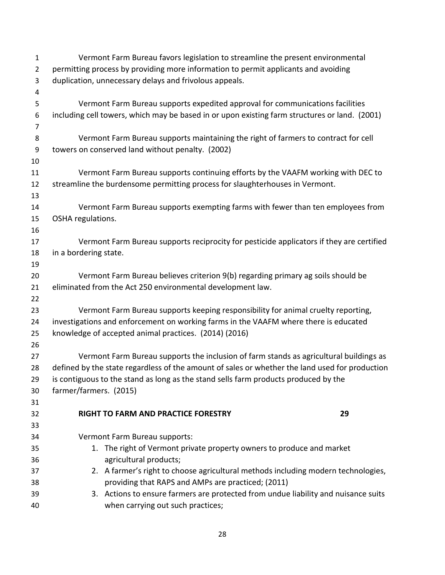| $\mathbf{1}$   | Vermont Farm Bureau favors legislation to streamline the present environmental                 |  |  |
|----------------|------------------------------------------------------------------------------------------------|--|--|
| $\overline{2}$ | permitting process by providing more information to permit applicants and avoiding             |  |  |
| 3              | duplication, unnecessary delays and frivolous appeals.                                         |  |  |
| 4              |                                                                                                |  |  |
| 5              | Vermont Farm Bureau supports expedited approval for communications facilities                  |  |  |
| 6              | including cell towers, which may be based in or upon existing farm structures or land. (2001)  |  |  |
| 7              |                                                                                                |  |  |
| 8              | Vermont Farm Bureau supports maintaining the right of farmers to contract for cell             |  |  |
| 9              | towers on conserved land without penalty. (2002)                                               |  |  |
| 10             |                                                                                                |  |  |
| 11             | Vermont Farm Bureau supports continuing efforts by the VAAFM working with DEC to               |  |  |
| 12             | streamline the burdensome permitting process for slaughterhouses in Vermont.                   |  |  |
| 13             |                                                                                                |  |  |
| 14             | Vermont Farm Bureau supports exempting farms with fewer than ten employees from                |  |  |
| 15             | OSHA regulations.                                                                              |  |  |
| 16             |                                                                                                |  |  |
| 17             | Vermont Farm Bureau supports reciprocity for pesticide applicators if they are certified       |  |  |
| 18             | in a bordering state.                                                                          |  |  |
| 19             |                                                                                                |  |  |
| 20             | Vermont Farm Bureau believes criterion 9(b) regarding primary ag soils should be               |  |  |
| 21             | eliminated from the Act 250 environmental development law.                                     |  |  |
| 22             |                                                                                                |  |  |
| 23             | Vermont Farm Bureau supports keeping responsibility for animal cruelty reporting,              |  |  |
| 24             | investigations and enforcement on working farms in the VAAFM where there is educated           |  |  |
| 25             | knowledge of accepted animal practices. (2014) (2016)                                          |  |  |
| 26             |                                                                                                |  |  |
| 27             | Vermont Farm Bureau supports the inclusion of farm stands as agricultural buildings as         |  |  |
| 28             | defined by the state regardless of the amount of sales or whether the land used for production |  |  |
| 29             | is contiguous to the stand as long as the stand sells farm products produced by the            |  |  |
| 30             | farmer/farmers. (2015)                                                                         |  |  |
| 31             |                                                                                                |  |  |
| 32             | RIGHT TO FARM AND PRACTICE FORESTRY<br>29                                                      |  |  |
| 33             |                                                                                                |  |  |
| 34             | Vermont Farm Bureau supports:                                                                  |  |  |
| 35             | 1. The right of Vermont private property owners to produce and market                          |  |  |
| 36             | agricultural products;                                                                         |  |  |
| 37             | 2. A farmer's right to choose agricultural methods including modern technologies,              |  |  |
| 38             | providing that RAPS and AMPs are practiced; (2011)                                             |  |  |
| 39             | 3. Actions to ensure farmers are protected from undue liability and nuisance suits             |  |  |
| 40             | when carrying out such practices;                                                              |  |  |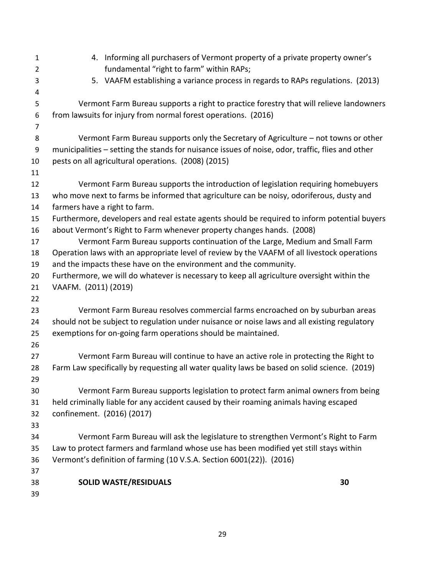| $\mathbf{1}$<br>$\overline{2}$ | 4. Informing all purchasers of Vermont property of a private property owner's<br>fundamental "right to farm" within RAPs; |  |
|--------------------------------|---------------------------------------------------------------------------------------------------------------------------|--|
| 3                              | 5. VAAFM establishing a variance process in regards to RAPs regulations. (2013)                                           |  |
| 4                              |                                                                                                                           |  |
| 5                              | Vermont Farm Bureau supports a right to practice forestry that will relieve landowners                                    |  |
| 6<br>7                         | from lawsuits for injury from normal forest operations. (2016)                                                            |  |
| 8                              | Vermont Farm Bureau supports only the Secretary of Agriculture – not towns or other                                       |  |
| $\boldsymbol{9}$               | municipalities - setting the stands for nuisance issues of noise, odor, traffic, flies and other                          |  |
| 10                             | pests on all agricultural operations. (2008) (2015)                                                                       |  |
| 11                             |                                                                                                                           |  |
| 12                             | Vermont Farm Bureau supports the introduction of legislation requiring homebuyers                                         |  |
| 13<br>14                       | who move next to farms be informed that agriculture can be noisy, odoriferous, dusty and<br>farmers have a right to farm. |  |
| 15                             | Furthermore, developers and real estate agents should be required to inform potential buyers                              |  |
| 16                             | about Vermont's Right to Farm whenever property changes hands. (2008)                                                     |  |
| 17                             | Vermont Farm Bureau supports continuation of the Large, Medium and Small Farm                                             |  |
| 18                             | Operation laws with an appropriate level of review by the VAAFM of all livestock operations                               |  |
| 19                             | and the impacts these have on the environment and the community.                                                          |  |
| 20                             | Furthermore, we will do whatever is necessary to keep all agriculture oversight within the                                |  |
| 21                             | VAAFM. (2011) (2019)                                                                                                      |  |
| 22                             |                                                                                                                           |  |
| 23                             | Vermont Farm Bureau resolves commercial farms encroached on by suburban areas                                             |  |
| 24                             | should not be subject to regulation under nuisance or noise laws and all existing regulatory                              |  |
| 25                             | exemptions for on-going farm operations should be maintained.                                                             |  |
| 26                             |                                                                                                                           |  |
| 27                             | Vermont Farm Bureau will continue to have an active role in protecting the Right to                                       |  |
| 28                             | Farm Law specifically by requesting all water quality laws be based on solid science. (2019)                              |  |
| 29                             |                                                                                                                           |  |
| 30                             | Vermont Farm Bureau supports legislation to protect farm animal owners from being                                         |  |
| 31                             | held criminally liable for any accident caused by their roaming animals having escaped                                    |  |
| 32                             | confinement. (2016) (2017)                                                                                                |  |
| 33                             |                                                                                                                           |  |
| 34                             | Vermont Farm Bureau will ask the legislature to strengthen Vermont's Right to Farm                                        |  |
| 35                             | Law to protect farmers and farmland whose use has been modified yet still stays within                                    |  |
| 36                             | Vermont's definition of farming (10 V.S.A. Section 6001(22)). (2016)                                                      |  |
| 37                             |                                                                                                                           |  |
| 38                             | <b>SOLID WASTE/RESIDUALS</b><br>30                                                                                        |  |
| 39                             |                                                                                                                           |  |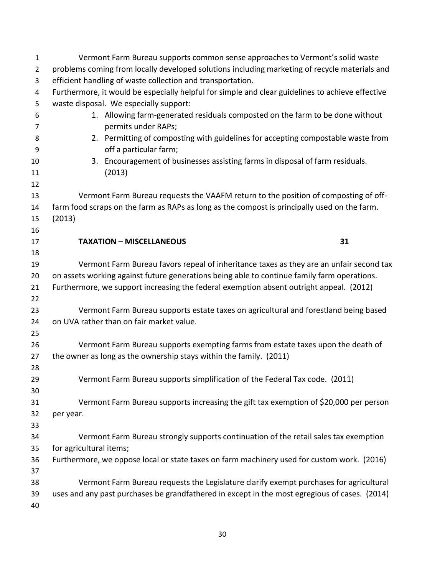| $\mathbf{1}$        | Vermont Farm Bureau supports common sense approaches to Vermont's solid waste                        |
|---------------------|------------------------------------------------------------------------------------------------------|
| $\overline{2}$      | problems coming from locally developed solutions including marketing of recycle materials and        |
| 3                   | efficient handling of waste collection and transportation.                                           |
| 4                   | Furthermore, it would be especially helpful for simple and clear guidelines to achieve effective     |
| 5                   | waste disposal. We especially support:                                                               |
| 6<br>$\overline{7}$ | 1. Allowing farm-generated residuals composted on the farm to be done without<br>permits under RAPs; |
| 8                   | 2. Permitting of composting with guidelines for accepting compostable waste from                     |
| 9                   | off a particular farm;                                                                               |
| 10                  | 3. Encouragement of businesses assisting farms in disposal of farm residuals.                        |
| 11                  | (2013)                                                                                               |
| 12                  |                                                                                                      |
| 13                  | Vermont Farm Bureau requests the VAAFM return to the position of composting of off-                  |
| 14                  | farm food scraps on the farm as RAPs as long as the compost is principally used on the farm.         |
| 15                  | (2013)                                                                                               |
| 16                  |                                                                                                      |
| 17                  | 31<br><b>TAXATION - MISCELLANEOUS</b>                                                                |
| 18                  |                                                                                                      |
| 19                  | Vermont Farm Bureau favors repeal of inheritance taxes as they are an unfair second tax              |
| 20                  | on assets working against future generations being able to continue family farm operations.          |
| 21                  | Furthermore, we support increasing the federal exemption absent outright appeal. (2012)              |
| 22                  |                                                                                                      |
| 23                  | Vermont Farm Bureau supports estate taxes on agricultural and forestland being based                 |
| 24                  | on UVA rather than on fair market value.                                                             |
| 25                  |                                                                                                      |
| 26                  | Vermont Farm Bureau supports exempting farms from estate taxes upon the death of                     |
| 27                  | the owner as long as the ownership stays within the family. (2011)                                   |
| 28                  |                                                                                                      |
| 29                  | Vermont Farm Bureau supports simplification of the Federal Tax code. (2011)                          |
| 30<br>31            | Vermont Farm Bureau supports increasing the gift tax exemption of \$20,000 per person                |
| 32                  | per year.                                                                                            |
| 33                  |                                                                                                      |
| 34                  | Vermont Farm Bureau strongly supports continuation of the retail sales tax exemption                 |
| 35                  | for agricultural items;                                                                              |
| 36                  | Furthermore, we oppose local or state taxes on farm machinery used for custom work. (2016)           |
| 37                  |                                                                                                      |
| 38                  | Vermont Farm Bureau requests the Legislature clarify exempt purchases for agricultural               |
| 39                  | uses and any past purchases be grandfathered in except in the most egregious of cases. (2014)        |
| 40                  |                                                                                                      |
|                     |                                                                                                      |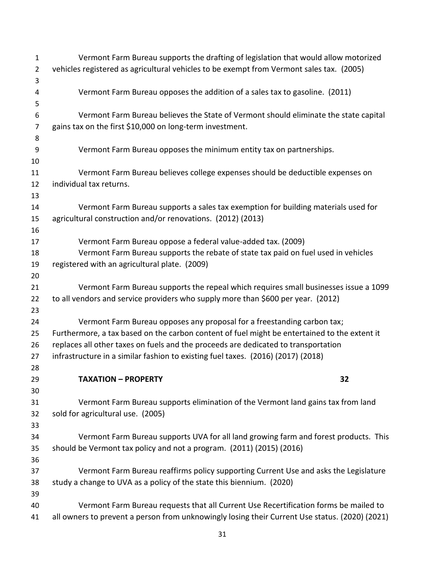| $\mathbf{1}$   | Vermont Farm Bureau supports the drafting of legislation that would allow motorized            |
|----------------|------------------------------------------------------------------------------------------------|
| $\overline{2}$ | vehicles registered as agricultural vehicles to be exempt from Vermont sales tax. (2005)       |
| 3              |                                                                                                |
| 4              | Vermont Farm Bureau opposes the addition of a sales tax to gasoline. (2011)                    |
| 5              |                                                                                                |
| 6              | Vermont Farm Bureau believes the State of Vermont should eliminate the state capital           |
| $\overline{7}$ | gains tax on the first \$10,000 on long-term investment.                                       |
| 8              |                                                                                                |
| 9              | Vermont Farm Bureau opposes the minimum entity tax on partnerships.                            |
| 10             |                                                                                                |
| 11             | Vermont Farm Bureau believes college expenses should be deductible expenses on                 |
| 12             | individual tax returns.                                                                        |
| 13             |                                                                                                |
| 14             | Vermont Farm Bureau supports a sales tax exemption for building materials used for             |
| 15             | agricultural construction and/or renovations. (2012) (2013)                                    |
| 16             |                                                                                                |
| 17             | Vermont Farm Bureau oppose a federal value-added tax. (2009)                                   |
| 18             | Vermont Farm Bureau supports the rebate of state tax paid on fuel used in vehicles             |
| 19             | registered with an agricultural plate. (2009)                                                  |
| 20             |                                                                                                |
| 21             | Vermont Farm Bureau supports the repeal which requires small businesses issue a 1099           |
| 22             | to all vendors and service providers who supply more than \$600 per year. (2012)               |
| 23             |                                                                                                |
| 24             | Vermont Farm Bureau opposes any proposal for a freestanding carbon tax;                        |
| 25             | Furthermore, a tax based on the carbon content of fuel might be entertained to the extent it   |
| 26             | replaces all other taxes on fuels and the proceeds are dedicated to transportation             |
| 27             | infrastructure in a similar fashion to existing fuel taxes. (2016) (2017) (2018)               |
| 28             |                                                                                                |
| 29             | <b>TAXATION - PROPERTY</b><br>32                                                               |
| 30             |                                                                                                |
| 31             | Vermont Farm Bureau supports elimination of the Vermont land gains tax from land               |
| 32<br>33       | sold for agricultural use. (2005)                                                              |
| 34             | Vermont Farm Bureau supports UVA for all land growing farm and forest products. This           |
| 35             | should be Vermont tax policy and not a program. (2011) (2015) (2016)                           |
| 36             |                                                                                                |
| 37             | Vermont Farm Bureau reaffirms policy supporting Current Use and asks the Legislature           |
| 38             | study a change to UVA as a policy of the state this biennium. (2020)                           |
| 39             |                                                                                                |
| 40             | Vermont Farm Bureau requests that all Current Use Recertification forms be mailed to           |
| 41             | all owners to prevent a person from unknowingly losing their Current Use status. (2020) (2021) |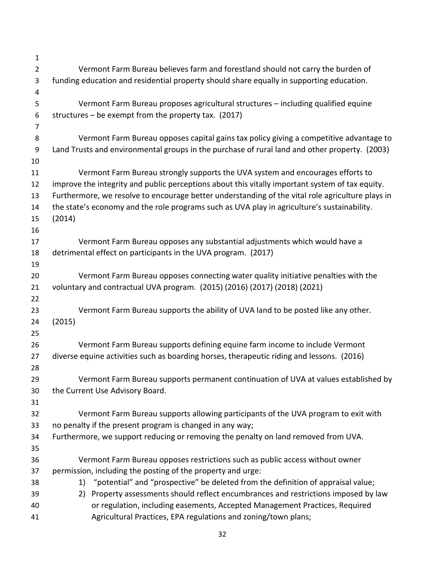| $\mathbf{1}$     |                                                                                                                                                    |  |
|------------------|----------------------------------------------------------------------------------------------------------------------------------------------------|--|
| $\overline{2}$   | Vermont Farm Bureau believes farm and forestland should not carry the burden of                                                                    |  |
| 3                | funding education and residential property should share equally in supporting education.                                                           |  |
| 4                |                                                                                                                                                    |  |
| 5                | Vermont Farm Bureau proposes agricultural structures - including qualified equine                                                                  |  |
| 6                | structures $-$ be exempt from the property tax. (2017)                                                                                             |  |
| 7                |                                                                                                                                                    |  |
| 8                | Vermont Farm Bureau opposes capital gains tax policy giving a competitive advantage to                                                             |  |
| $\boldsymbol{9}$ | Land Trusts and environmental groups in the purchase of rural land and other property. (2003)                                                      |  |
| 10               |                                                                                                                                                    |  |
| 11               | Vermont Farm Bureau strongly supports the UVA system and encourages efforts to                                                                     |  |
| 12               | improve the integrity and public perceptions about this vitally important system of tax equity.                                                    |  |
| 13               | Furthermore, we resolve to encourage better understanding of the vital role agriculture plays in                                                   |  |
| 14               | the state's economy and the role programs such as UVA play in agriculture's sustainability.                                                        |  |
| 15               | (2014)                                                                                                                                             |  |
| 16               |                                                                                                                                                    |  |
| 17               | Vermont Farm Bureau opposes any substantial adjustments which would have a                                                                         |  |
| 18               | detrimental effect on participants in the UVA program. (2017)                                                                                      |  |
| 19               |                                                                                                                                                    |  |
| 20               | Vermont Farm Bureau opposes connecting water quality initiative penalties with the                                                                 |  |
| 21               | voluntary and contractual UVA program. (2015) (2016) (2017) (2018) (2021)                                                                          |  |
| 22               |                                                                                                                                                    |  |
| 23               | Vermont Farm Bureau supports the ability of UVA land to be posted like any other.                                                                  |  |
| 24               | (2015)                                                                                                                                             |  |
| 25               |                                                                                                                                                    |  |
| 26               | Vermont Farm Bureau supports defining equine farm income to include Vermont                                                                        |  |
| 27               | diverse equine activities such as boarding horses, therapeutic riding and lessons. (2016)                                                          |  |
| 28               |                                                                                                                                                    |  |
| 29               | Vermont Farm Bureau supports permanent continuation of UVA at values established by                                                                |  |
| 30               | the Current Use Advisory Board.                                                                                                                    |  |
| 31               |                                                                                                                                                    |  |
| 32               | Vermont Farm Bureau supports allowing participants of the UVA program to exit with                                                                 |  |
| 33               | no penalty if the present program is changed in any way;                                                                                           |  |
| 34               | Furthermore, we support reducing or removing the penalty on land removed from UVA.                                                                 |  |
| 35               |                                                                                                                                                    |  |
| 36               | Vermont Farm Bureau opposes restrictions such as public access without owner                                                                       |  |
| 37               | permission, including the posting of the property and urge:<br>1) "potential" and "prospective" be deleted from the definition of appraisal value; |  |
| 38               | Property assessments should reflect encumbrances and restrictions imposed by law                                                                   |  |
| 39<br>40         | 2)<br>or regulation, including easements, Accepted Management Practices, Required                                                                  |  |
| 41               | Agricultural Practices, EPA regulations and zoning/town plans;                                                                                     |  |
|                  |                                                                                                                                                    |  |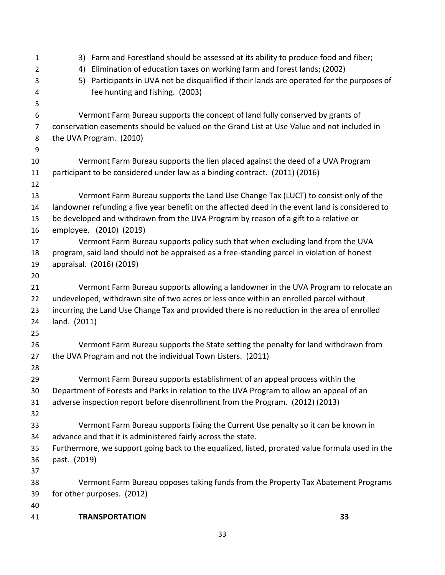| $\mathbf{1}$   | 3) Farm and Forestland should be assessed at its ability to produce food and fiber;             |
|----------------|-------------------------------------------------------------------------------------------------|
| $\overline{2}$ | Elimination of education taxes on working farm and forest lands; (2002)<br>4)                   |
| 3              | Participants in UVA not be disqualified if their lands are operated for the purposes of<br>5)   |
| 4              | fee hunting and fishing. (2003)                                                                 |
| 5              |                                                                                                 |
| 6              | Vermont Farm Bureau supports the concept of land fully conserved by grants of                   |
| $\overline{7}$ | conservation easements should be valued on the Grand List at Use Value and not included in      |
| 8              | the UVA Program. (2010)                                                                         |
| 9              |                                                                                                 |
| 10             | Vermont Farm Bureau supports the lien placed against the deed of a UVA Program                  |
| 11             | participant to be considered under law as a binding contract. (2011) (2016)                     |
| 12             |                                                                                                 |
| 13             | Vermont Farm Bureau supports the Land Use Change Tax (LUCT) to consist only of the              |
| 14             | landowner refunding a five year benefit on the affected deed in the event land is considered to |
| 15             | be developed and withdrawn from the UVA Program by reason of a gift to a relative or            |
| 16             | employee. (2010) (2019)                                                                         |
| 17             | Vermont Farm Bureau supports policy such that when excluding land from the UVA                  |
| 18             | program, said land should not be appraised as a free-standing parcel in violation of honest     |
| 19             | appraisal. (2016) (2019)                                                                        |
| 20             |                                                                                                 |
| 21             | Vermont Farm Bureau supports allowing a landowner in the UVA Program to relocate an             |
| 22             | undeveloped, withdrawn site of two acres or less once within an enrolled parcel without         |
| 23             | incurring the Land Use Change Tax and provided there is no reduction in the area of enrolled    |
| 24             | land. (2011)                                                                                    |
| 25             |                                                                                                 |
| 26             | Vermont Farm Bureau supports the State setting the penalty for land withdrawn from              |
| 27             | the UVA Program and not the individual Town Listers. (2011)                                     |
| 28             |                                                                                                 |
| 29             | Vermont Farm Bureau supports establishment of an appeal process within the                      |
| 30             | Department of Forests and Parks in relation to the UVA Program to allow an appeal of an         |
| 31             | adverse inspection report before disenrollment from the Program. (2012) (2013)                  |
| 32             |                                                                                                 |
| 33             | Vermont Farm Bureau supports fixing the Current Use penalty so it can be known in               |
| 34             | advance and that it is administered fairly across the state.                                    |
| 35             | Furthermore, we support going back to the equalized, listed, prorated value formula used in the |
| 36             | past. (2019)                                                                                    |
| 37             |                                                                                                 |
| 38             | Vermont Farm Bureau opposes taking funds from the Property Tax Abatement Programs               |
| 39             | for other purposes. (2012)                                                                      |
| 40             |                                                                                                 |
| 41             | 33<br><b>TRANSPORTATION</b>                                                                     |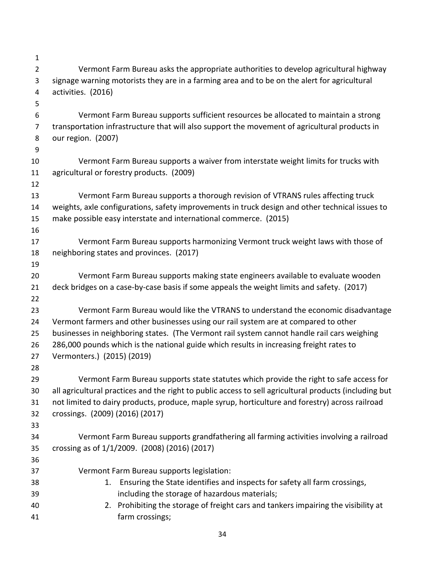| $\mathbf{1}$     |                                                                                                        |
|------------------|--------------------------------------------------------------------------------------------------------|
| $\overline{2}$   | Vermont Farm Bureau asks the appropriate authorities to develop agricultural highway                   |
| 3                | signage warning motorists they are in a farming area and to be on the alert for agricultural           |
| 4                | activities. (2016)                                                                                     |
| 5                |                                                                                                        |
| 6                | Vermont Farm Bureau supports sufficient resources be allocated to maintain a strong                    |
| $\overline{7}$   | transportation infrastructure that will also support the movement of agricultural products in          |
| 8                | our region. (2007)                                                                                     |
| $\boldsymbol{9}$ |                                                                                                        |
| 10               | Vermont Farm Bureau supports a waiver from interstate weight limits for trucks with                    |
| 11               | agricultural or forestry products. (2009)                                                              |
| 12               |                                                                                                        |
| 13               | Vermont Farm Bureau supports a thorough revision of VTRANS rules affecting truck                       |
| 14               | weights, axle configurations, safety improvements in truck design and other technical issues to        |
| 15               | make possible easy interstate and international commerce. (2015)                                       |
| 16               |                                                                                                        |
| 17               | Vermont Farm Bureau supports harmonizing Vermont truck weight laws with those of                       |
| 18               | neighboring states and provinces. (2017)                                                               |
| 19               |                                                                                                        |
| 20               | Vermont Farm Bureau supports making state engineers available to evaluate wooden                       |
| 21               | deck bridges on a case-by-case basis if some appeals the weight limits and safety. (2017)              |
| 22               |                                                                                                        |
| 23               | Vermont Farm Bureau would like the VTRANS to understand the economic disadvantage                      |
| 24               | Vermont farmers and other businesses using our rail system are at compared to other                    |
| 25               | businesses in neighboring states. (The Vermont rail system cannot handle rail cars weighing            |
| 26               | 286,000 pounds which is the national guide which results in increasing freight rates to                |
| 27               | Vermonters.) (2015) (2019)                                                                             |
| 28               |                                                                                                        |
| 29               | Vermont Farm Bureau supports state statutes which provide the right to safe access for                 |
| 30               | all agricultural practices and the right to public access to sell agricultural products (including but |
| 31               | not limited to dairy products, produce, maple syrup, horticulture and forestry) across railroad        |
| 32               | crossings. (2009) (2016) (2017)                                                                        |
| 33               | Vermont Farm Bureau supports grandfathering all farming activities involving a railroad                |
| 34<br>35         | crossing as of 1/1/2009. (2008) (2016) (2017)                                                          |
| 36               |                                                                                                        |
| 37               | Vermont Farm Bureau supports legislation:                                                              |
| 38               | Ensuring the State identifies and inspects for safety all farm crossings,<br>1.                        |
| 39               | including the storage of hazardous materials;                                                          |
| 40               | Prohibiting the storage of freight cars and tankers impairing the visibility at<br>2.                  |
| 41               | farm crossings;                                                                                        |
|                  |                                                                                                        |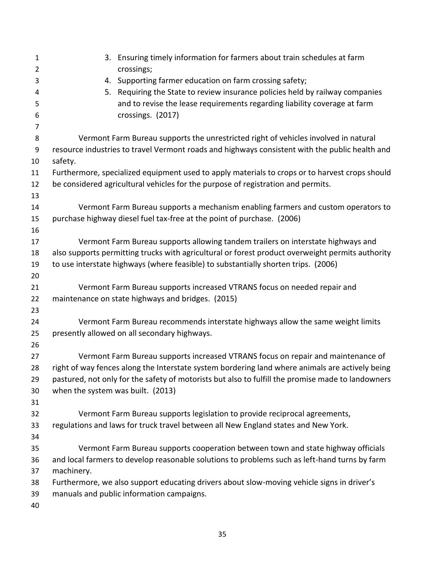| $\mathbf{1}$   | 3. Ensuring timely information for farmers about train schedules at farm                          |
|----------------|---------------------------------------------------------------------------------------------------|
| $\overline{2}$ | crossings;                                                                                        |
| 3              | Supporting farmer education on farm crossing safety;<br>4.                                        |
| 4              | Requiring the State to review insurance policies held by railway companies<br>5.                  |
| 5              | and to revise the lease requirements regarding liability coverage at farm                         |
| 6              | crossings. (2017)                                                                                 |
| 7              |                                                                                                   |
| 8              | Vermont Farm Bureau supports the unrestricted right of vehicles involved in natural               |
| 9              | resource industries to travel Vermont roads and highways consistent with the public health and    |
| 10             | safety.                                                                                           |
| 11             | Furthermore, specialized equipment used to apply materials to crops or to harvest crops should    |
| 12             | be considered agricultural vehicles for the purpose of registration and permits.                  |
| 13             |                                                                                                   |
| 14             | Vermont Farm Bureau supports a mechanism enabling farmers and custom operators to                 |
| 15             | purchase highway diesel fuel tax-free at the point of purchase. (2006)                            |
| 16             |                                                                                                   |
| 17             | Vermont Farm Bureau supports allowing tandem trailers on interstate highways and                  |
| 18             | also supports permitting trucks with agricultural or forest product overweight permits authority  |
| 19             | to use interstate highways (where feasible) to substantially shorten trips. (2006)                |
| 20             |                                                                                                   |
| 21             | Vermont Farm Bureau supports increased VTRANS focus on needed repair and                          |
| 22             | maintenance on state highways and bridges. (2015)                                                 |
| 23             |                                                                                                   |
| 24             | Vermont Farm Bureau recommends interstate highways allow the same weight limits                   |
| 25             | presently allowed on all secondary highways.                                                      |
| 26             |                                                                                                   |
| 27             | Vermont Farm Bureau supports increased VTRANS focus on repair and maintenance of                  |
| 28             | right of way fences along the Interstate system bordering land where animals are actively being   |
| 29             | pastured, not only for the safety of motorists but also to fulfill the promise made to landowners |
| 30             | when the system was built. (2013)                                                                 |
| 31             |                                                                                                   |
| 32             | Vermont Farm Bureau supports legislation to provide reciprocal agreements,                        |
| 33             | regulations and laws for truck travel between all New England states and New York.                |
| 34             |                                                                                                   |
| 35             | Vermont Farm Bureau supports cooperation between town and state highway officials                 |
| 36             | and local farmers to develop reasonable solutions to problems such as left-hand turns by farm     |
| 37             | machinery.                                                                                        |
| 38             | Furthermore, we also support educating drivers about slow-moving vehicle signs in driver's        |
| 39             | manuals and public information campaigns.                                                         |
| 40             |                                                                                                   |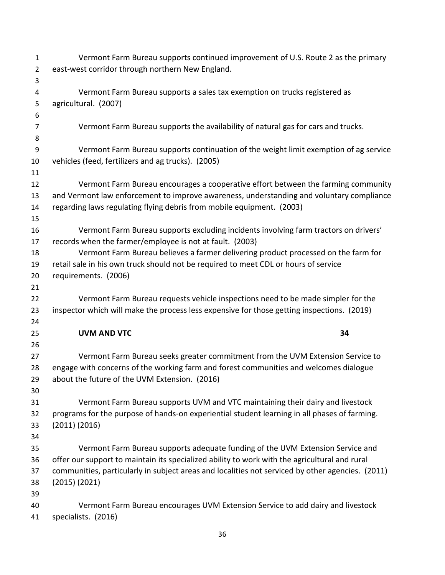| $\mathbf{1}$   | Vermont Farm Bureau supports continued improvement of U.S. Route 2 as the primary                |
|----------------|--------------------------------------------------------------------------------------------------|
| $\overline{2}$ | east-west corridor through northern New England.                                                 |
| 3              |                                                                                                  |
| 4              | Vermont Farm Bureau supports a sales tax exemption on trucks registered as                       |
| 5              | agricultural. (2007)                                                                             |
| 6              |                                                                                                  |
| $\overline{7}$ | Vermont Farm Bureau supports the availability of natural gas for cars and trucks.                |
| 8              |                                                                                                  |
| 9              | Vermont Farm Bureau supports continuation of the weight limit exemption of ag service            |
| 10             | vehicles (feed, fertilizers and ag trucks). (2005)                                               |
| 11             |                                                                                                  |
| 12             | Vermont Farm Bureau encourages a cooperative effort between the farming community                |
| 13             | and Vermont law enforcement to improve awareness, understanding and voluntary compliance         |
| 14             | regarding laws regulating flying debris from mobile equipment. (2003)                            |
| 15             |                                                                                                  |
| 16             | Vermont Farm Bureau supports excluding incidents involving farm tractors on drivers'             |
| 17             | records when the farmer/employee is not at fault. (2003)                                         |
| 18             | Vermont Farm Bureau believes a farmer delivering product processed on the farm for               |
| 19             | retail sale in his own truck should not be required to meet CDL or hours of service              |
| 20             | requirements. (2006)                                                                             |
| 21             |                                                                                                  |
| 22             | Vermont Farm Bureau requests vehicle inspections need to be made simpler for the                 |
| 23             | inspector which will make the process less expensive for those getting inspections. (2019)       |
| 24             |                                                                                                  |
| 25             | <b>UVM AND VTC</b><br>34                                                                         |
| 26             |                                                                                                  |
| 27             | Vermont Farm Bureau seeks greater commitment from the UVM Extension Service to                   |
| 28             | engage with concerns of the working farm and forest communities and welcomes dialogue            |
| 29             | about the future of the UVM Extension. (2016)                                                    |
| 30             |                                                                                                  |
| 31             | Vermont Farm Bureau supports UVM and VTC maintaining their dairy and livestock                   |
| 32             | programs for the purpose of hands-on experiential student learning in all phases of farming.     |
| 33             | (2011) (2016)                                                                                    |
| 34             |                                                                                                  |
| 35             | Vermont Farm Bureau supports adequate funding of the UVM Extension Service and                   |
| 36             | offer our support to maintain its specialized ability to work with the agricultural and rural    |
| 37             | communities, particularly in subject areas and localities not serviced by other agencies. (2011) |
| 38             | (2015) (2021)                                                                                    |
| 39             |                                                                                                  |
| 40             | Vermont Farm Bureau encourages UVM Extension Service to add dairy and livestock                  |
| 41             | specialists. (2016)                                                                              |
|                |                                                                                                  |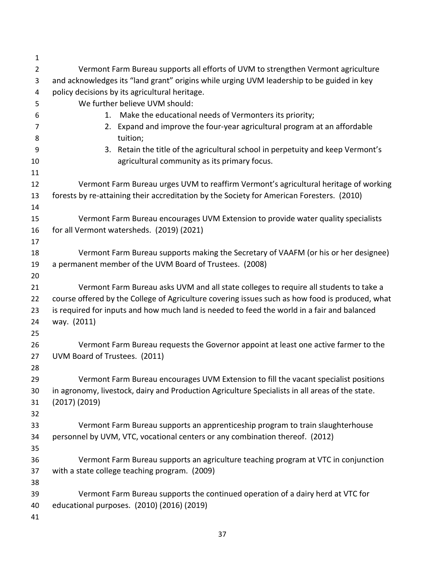| $\mathbf{1}$   |                                                                                                 |
|----------------|-------------------------------------------------------------------------------------------------|
| $\overline{2}$ | Vermont Farm Bureau supports all efforts of UVM to strengthen Vermont agriculture               |
| 3              | and acknowledges its "land grant" origins while urging UVM leadership to be guided in key       |
| 4              | policy decisions by its agricultural heritage.                                                  |
| 5              | We further believe UVM should:                                                                  |
| 6              | Make the educational needs of Vermonters its priority;<br>1.                                    |
| 7              | Expand and improve the four-year agricultural program at an affordable<br>2.                    |
| 8              | tuition;                                                                                        |
| 9              | 3. Retain the title of the agricultural school in perpetuity and keep Vermont's                 |
| 10             | agricultural community as its primary focus.                                                    |
| 11             |                                                                                                 |
| 12             | Vermont Farm Bureau urges UVM to reaffirm Vermont's agricultural heritage of working            |
| 13             | forests by re-attaining their accreditation by the Society for American Foresters. (2010)       |
| 14             |                                                                                                 |
| 15             | Vermont Farm Bureau encourages UVM Extension to provide water quality specialists               |
| 16             | for all Vermont watersheds. (2019) (2021)                                                       |
| 17             |                                                                                                 |
| 18             | Vermont Farm Bureau supports making the Secretary of VAAFM (or his or her designee)             |
| 19             | a permanent member of the UVM Board of Trustees. (2008)                                         |
| 20             |                                                                                                 |
| 21             | Vermont Farm Bureau asks UVM and all state colleges to require all students to take a           |
| 22             | course offered by the College of Agriculture covering issues such as how food is produced, what |
| 23             | is required for inputs and how much land is needed to feed the world in a fair and balanced     |
| 24             | way. (2011)                                                                                     |
| 25             |                                                                                                 |
| 26             | Vermont Farm Bureau requests the Governor appoint at least one active farmer to the             |
| 27             | UVM Board of Trustees. (2011)                                                                   |
| 28             |                                                                                                 |
| 29             | Vermont Farm Bureau encourages UVM Extension to fill the vacant specialist positions            |
| 30             | in agronomy, livestock, dairy and Production Agriculture Specialists in all areas of the state. |
| 31             | $(2017)$ $(2019)$                                                                               |
| 32             |                                                                                                 |
| 33             | Vermont Farm Bureau supports an apprenticeship program to train slaughterhouse                  |
| 34             | personnel by UVM, VTC, vocational centers or any combination thereof. (2012)                    |
| 35             |                                                                                                 |
| 36             | Vermont Farm Bureau supports an agriculture teaching program at VTC in conjunction              |
| 37             | with a state college teaching program. (2009)                                                   |
| 38             |                                                                                                 |
| 39             | Vermont Farm Bureau supports the continued operation of a dairy herd at VTC for                 |
| 40             | educational purposes. (2010) (2016) (2019)                                                      |
| 41             |                                                                                                 |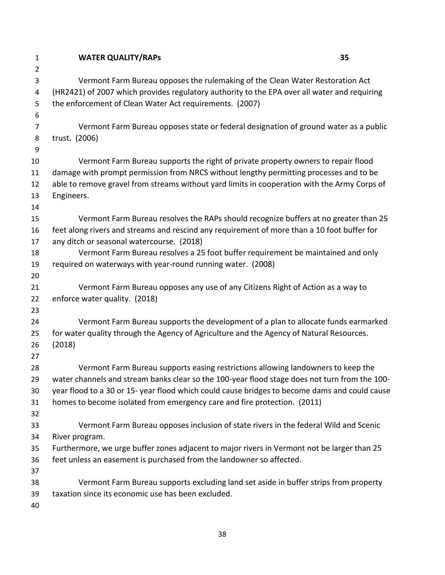| $\overline{2}$<br>Vermont Farm Bureau opposes the rulemaking of the Clean Water Restoration Act<br>3<br>(HR2421) of 2007 which provides regulatory authority to the EPA over all water and requiring<br>4<br>the enforcement of Clean Water Act requirements. (2007)<br>5<br>6<br>Vermont Farm Bureau opposes state or federal designation of ground water as a public<br>7<br>trust. (2006)<br>8<br>9<br>Vermont Farm Bureau supports the right of private property owners to repair flood<br>damage with prompt permission from NRCS without lengthy permitting processes and to be<br>able to remove gravel from streams without yard limits in cooperation with the Army Corps of<br>Engineers.<br>Vermont Farm Bureau resolves the RAPs should recognize buffers at no greater than 25<br>feet along rivers and streams and rescind any requirement of more than a 10 foot buffer for<br>any ditch or seasonal watercourse. (2018)<br>17<br>Vermont Farm Bureau resolves a 25 foot buffer requirement be maintained and only<br>18<br>required on waterways with year-round running water. (2008)<br>19<br>20<br>Vermont Farm Bureau opposes any use of any Citizens Right of Action as a way to<br>21<br>enforce water quality. (2018)<br>22<br>23<br>Vermont Farm Bureau supports the development of a plan to allocate funds earmarked<br>24<br>for water quality through the Agency of Agriculture and the Agency of Natural Resources.<br>25<br>(2018)<br>26<br>27<br>Vermont Farm Bureau supports easing restrictions allowing landowners to keep the<br>28<br>water channels and stream banks clear so the 100-year flood stage does not turn from the 100-<br>29<br>year flood to a 30 or 15-year flood which could cause bridges to become dams and could cause<br>30<br>homes to become isolated from emergency care and fire protection. (2011)<br>31<br>32<br>Vermont Farm Bureau opposes inclusion of state rivers in the federal Wild and Scenic<br>33<br>34<br>River program.<br>Furthermore, we urge buffer zones adjacent to major rivers in Vermont not be larger than 25<br>35<br>feet unless an easement is purchased from the landowner so affected.<br>36<br>37<br>Vermont Farm Bureau supports excluding land set aside in buffer strips from property<br>38<br>taxation since its economic use has been excluded.<br>39 | $\mathbf{1}$ | <b>WATER QUALITY/RAPS</b> | 35 |
|------------------------------------------------------------------------------------------------------------------------------------------------------------------------------------------------------------------------------------------------------------------------------------------------------------------------------------------------------------------------------------------------------------------------------------------------------------------------------------------------------------------------------------------------------------------------------------------------------------------------------------------------------------------------------------------------------------------------------------------------------------------------------------------------------------------------------------------------------------------------------------------------------------------------------------------------------------------------------------------------------------------------------------------------------------------------------------------------------------------------------------------------------------------------------------------------------------------------------------------------------------------------------------------------------------------------------------------------------------------------------------------------------------------------------------------------------------------------------------------------------------------------------------------------------------------------------------------------------------------------------------------------------------------------------------------------------------------------------------------------------------------------------------------------------------------------------------------------------------------------------------------------------------------------------------------------------------------------------------------------------------------------------------------------------------------------------------------------------------------------------------------------------------------------------------------------------------------------------------------------------------------------------------------------------------------------------------------------------|--------------|---------------------------|----|
|                                                                                                                                                                                                                                                                                                                                                                                                                                                                                                                                                                                                                                                                                                                                                                                                                                                                                                                                                                                                                                                                                                                                                                                                                                                                                                                                                                                                                                                                                                                                                                                                                                                                                                                                                                                                                                                                                                                                                                                                                                                                                                                                                                                                                                                                                                                                                      |              |                           |    |
|                                                                                                                                                                                                                                                                                                                                                                                                                                                                                                                                                                                                                                                                                                                                                                                                                                                                                                                                                                                                                                                                                                                                                                                                                                                                                                                                                                                                                                                                                                                                                                                                                                                                                                                                                                                                                                                                                                                                                                                                                                                                                                                                                                                                                                                                                                                                                      |              |                           |    |
|                                                                                                                                                                                                                                                                                                                                                                                                                                                                                                                                                                                                                                                                                                                                                                                                                                                                                                                                                                                                                                                                                                                                                                                                                                                                                                                                                                                                                                                                                                                                                                                                                                                                                                                                                                                                                                                                                                                                                                                                                                                                                                                                                                                                                                                                                                                                                      |              |                           |    |
|                                                                                                                                                                                                                                                                                                                                                                                                                                                                                                                                                                                                                                                                                                                                                                                                                                                                                                                                                                                                                                                                                                                                                                                                                                                                                                                                                                                                                                                                                                                                                                                                                                                                                                                                                                                                                                                                                                                                                                                                                                                                                                                                                                                                                                                                                                                                                      |              |                           |    |
|                                                                                                                                                                                                                                                                                                                                                                                                                                                                                                                                                                                                                                                                                                                                                                                                                                                                                                                                                                                                                                                                                                                                                                                                                                                                                                                                                                                                                                                                                                                                                                                                                                                                                                                                                                                                                                                                                                                                                                                                                                                                                                                                                                                                                                                                                                                                                      |              |                           |    |
|                                                                                                                                                                                                                                                                                                                                                                                                                                                                                                                                                                                                                                                                                                                                                                                                                                                                                                                                                                                                                                                                                                                                                                                                                                                                                                                                                                                                                                                                                                                                                                                                                                                                                                                                                                                                                                                                                                                                                                                                                                                                                                                                                                                                                                                                                                                                                      |              |                           |    |
|                                                                                                                                                                                                                                                                                                                                                                                                                                                                                                                                                                                                                                                                                                                                                                                                                                                                                                                                                                                                                                                                                                                                                                                                                                                                                                                                                                                                                                                                                                                                                                                                                                                                                                                                                                                                                                                                                                                                                                                                                                                                                                                                                                                                                                                                                                                                                      |              |                           |    |
|                                                                                                                                                                                                                                                                                                                                                                                                                                                                                                                                                                                                                                                                                                                                                                                                                                                                                                                                                                                                                                                                                                                                                                                                                                                                                                                                                                                                                                                                                                                                                                                                                                                                                                                                                                                                                                                                                                                                                                                                                                                                                                                                                                                                                                                                                                                                                      |              |                           |    |
|                                                                                                                                                                                                                                                                                                                                                                                                                                                                                                                                                                                                                                                                                                                                                                                                                                                                                                                                                                                                                                                                                                                                                                                                                                                                                                                                                                                                                                                                                                                                                                                                                                                                                                                                                                                                                                                                                                                                                                                                                                                                                                                                                                                                                                                                                                                                                      | 10           |                           |    |
|                                                                                                                                                                                                                                                                                                                                                                                                                                                                                                                                                                                                                                                                                                                                                                                                                                                                                                                                                                                                                                                                                                                                                                                                                                                                                                                                                                                                                                                                                                                                                                                                                                                                                                                                                                                                                                                                                                                                                                                                                                                                                                                                                                                                                                                                                                                                                      | 11           |                           |    |
|                                                                                                                                                                                                                                                                                                                                                                                                                                                                                                                                                                                                                                                                                                                                                                                                                                                                                                                                                                                                                                                                                                                                                                                                                                                                                                                                                                                                                                                                                                                                                                                                                                                                                                                                                                                                                                                                                                                                                                                                                                                                                                                                                                                                                                                                                                                                                      | 12           |                           |    |
|                                                                                                                                                                                                                                                                                                                                                                                                                                                                                                                                                                                                                                                                                                                                                                                                                                                                                                                                                                                                                                                                                                                                                                                                                                                                                                                                                                                                                                                                                                                                                                                                                                                                                                                                                                                                                                                                                                                                                                                                                                                                                                                                                                                                                                                                                                                                                      | 13           |                           |    |
|                                                                                                                                                                                                                                                                                                                                                                                                                                                                                                                                                                                                                                                                                                                                                                                                                                                                                                                                                                                                                                                                                                                                                                                                                                                                                                                                                                                                                                                                                                                                                                                                                                                                                                                                                                                                                                                                                                                                                                                                                                                                                                                                                                                                                                                                                                                                                      | 14           |                           |    |
|                                                                                                                                                                                                                                                                                                                                                                                                                                                                                                                                                                                                                                                                                                                                                                                                                                                                                                                                                                                                                                                                                                                                                                                                                                                                                                                                                                                                                                                                                                                                                                                                                                                                                                                                                                                                                                                                                                                                                                                                                                                                                                                                                                                                                                                                                                                                                      | 15           |                           |    |
|                                                                                                                                                                                                                                                                                                                                                                                                                                                                                                                                                                                                                                                                                                                                                                                                                                                                                                                                                                                                                                                                                                                                                                                                                                                                                                                                                                                                                                                                                                                                                                                                                                                                                                                                                                                                                                                                                                                                                                                                                                                                                                                                                                                                                                                                                                                                                      | 16           |                           |    |
|                                                                                                                                                                                                                                                                                                                                                                                                                                                                                                                                                                                                                                                                                                                                                                                                                                                                                                                                                                                                                                                                                                                                                                                                                                                                                                                                                                                                                                                                                                                                                                                                                                                                                                                                                                                                                                                                                                                                                                                                                                                                                                                                                                                                                                                                                                                                                      |              |                           |    |
|                                                                                                                                                                                                                                                                                                                                                                                                                                                                                                                                                                                                                                                                                                                                                                                                                                                                                                                                                                                                                                                                                                                                                                                                                                                                                                                                                                                                                                                                                                                                                                                                                                                                                                                                                                                                                                                                                                                                                                                                                                                                                                                                                                                                                                                                                                                                                      |              |                           |    |
|                                                                                                                                                                                                                                                                                                                                                                                                                                                                                                                                                                                                                                                                                                                                                                                                                                                                                                                                                                                                                                                                                                                                                                                                                                                                                                                                                                                                                                                                                                                                                                                                                                                                                                                                                                                                                                                                                                                                                                                                                                                                                                                                                                                                                                                                                                                                                      |              |                           |    |
|                                                                                                                                                                                                                                                                                                                                                                                                                                                                                                                                                                                                                                                                                                                                                                                                                                                                                                                                                                                                                                                                                                                                                                                                                                                                                                                                                                                                                                                                                                                                                                                                                                                                                                                                                                                                                                                                                                                                                                                                                                                                                                                                                                                                                                                                                                                                                      |              |                           |    |
|                                                                                                                                                                                                                                                                                                                                                                                                                                                                                                                                                                                                                                                                                                                                                                                                                                                                                                                                                                                                                                                                                                                                                                                                                                                                                                                                                                                                                                                                                                                                                                                                                                                                                                                                                                                                                                                                                                                                                                                                                                                                                                                                                                                                                                                                                                                                                      |              |                           |    |
|                                                                                                                                                                                                                                                                                                                                                                                                                                                                                                                                                                                                                                                                                                                                                                                                                                                                                                                                                                                                                                                                                                                                                                                                                                                                                                                                                                                                                                                                                                                                                                                                                                                                                                                                                                                                                                                                                                                                                                                                                                                                                                                                                                                                                                                                                                                                                      |              |                           |    |
|                                                                                                                                                                                                                                                                                                                                                                                                                                                                                                                                                                                                                                                                                                                                                                                                                                                                                                                                                                                                                                                                                                                                                                                                                                                                                                                                                                                                                                                                                                                                                                                                                                                                                                                                                                                                                                                                                                                                                                                                                                                                                                                                                                                                                                                                                                                                                      |              |                           |    |
|                                                                                                                                                                                                                                                                                                                                                                                                                                                                                                                                                                                                                                                                                                                                                                                                                                                                                                                                                                                                                                                                                                                                                                                                                                                                                                                                                                                                                                                                                                                                                                                                                                                                                                                                                                                                                                                                                                                                                                                                                                                                                                                                                                                                                                                                                                                                                      |              |                           |    |
|                                                                                                                                                                                                                                                                                                                                                                                                                                                                                                                                                                                                                                                                                                                                                                                                                                                                                                                                                                                                                                                                                                                                                                                                                                                                                                                                                                                                                                                                                                                                                                                                                                                                                                                                                                                                                                                                                                                                                                                                                                                                                                                                                                                                                                                                                                                                                      |              |                           |    |
|                                                                                                                                                                                                                                                                                                                                                                                                                                                                                                                                                                                                                                                                                                                                                                                                                                                                                                                                                                                                                                                                                                                                                                                                                                                                                                                                                                                                                                                                                                                                                                                                                                                                                                                                                                                                                                                                                                                                                                                                                                                                                                                                                                                                                                                                                                                                                      |              |                           |    |
|                                                                                                                                                                                                                                                                                                                                                                                                                                                                                                                                                                                                                                                                                                                                                                                                                                                                                                                                                                                                                                                                                                                                                                                                                                                                                                                                                                                                                                                                                                                                                                                                                                                                                                                                                                                                                                                                                                                                                                                                                                                                                                                                                                                                                                                                                                                                                      |              |                           |    |
|                                                                                                                                                                                                                                                                                                                                                                                                                                                                                                                                                                                                                                                                                                                                                                                                                                                                                                                                                                                                                                                                                                                                                                                                                                                                                                                                                                                                                                                                                                                                                                                                                                                                                                                                                                                                                                                                                                                                                                                                                                                                                                                                                                                                                                                                                                                                                      |              |                           |    |
|                                                                                                                                                                                                                                                                                                                                                                                                                                                                                                                                                                                                                                                                                                                                                                                                                                                                                                                                                                                                                                                                                                                                                                                                                                                                                                                                                                                                                                                                                                                                                                                                                                                                                                                                                                                                                                                                                                                                                                                                                                                                                                                                                                                                                                                                                                                                                      |              |                           |    |
|                                                                                                                                                                                                                                                                                                                                                                                                                                                                                                                                                                                                                                                                                                                                                                                                                                                                                                                                                                                                                                                                                                                                                                                                                                                                                                                                                                                                                                                                                                                                                                                                                                                                                                                                                                                                                                                                                                                                                                                                                                                                                                                                                                                                                                                                                                                                                      |              |                           |    |
|                                                                                                                                                                                                                                                                                                                                                                                                                                                                                                                                                                                                                                                                                                                                                                                                                                                                                                                                                                                                                                                                                                                                                                                                                                                                                                                                                                                                                                                                                                                                                                                                                                                                                                                                                                                                                                                                                                                                                                                                                                                                                                                                                                                                                                                                                                                                                      |              |                           |    |
|                                                                                                                                                                                                                                                                                                                                                                                                                                                                                                                                                                                                                                                                                                                                                                                                                                                                                                                                                                                                                                                                                                                                                                                                                                                                                                                                                                                                                                                                                                                                                                                                                                                                                                                                                                                                                                                                                                                                                                                                                                                                                                                                                                                                                                                                                                                                                      |              |                           |    |
|                                                                                                                                                                                                                                                                                                                                                                                                                                                                                                                                                                                                                                                                                                                                                                                                                                                                                                                                                                                                                                                                                                                                                                                                                                                                                                                                                                                                                                                                                                                                                                                                                                                                                                                                                                                                                                                                                                                                                                                                                                                                                                                                                                                                                                                                                                                                                      |              |                           |    |
|                                                                                                                                                                                                                                                                                                                                                                                                                                                                                                                                                                                                                                                                                                                                                                                                                                                                                                                                                                                                                                                                                                                                                                                                                                                                                                                                                                                                                                                                                                                                                                                                                                                                                                                                                                                                                                                                                                                                                                                                                                                                                                                                                                                                                                                                                                                                                      |              |                           |    |
|                                                                                                                                                                                                                                                                                                                                                                                                                                                                                                                                                                                                                                                                                                                                                                                                                                                                                                                                                                                                                                                                                                                                                                                                                                                                                                                                                                                                                                                                                                                                                                                                                                                                                                                                                                                                                                                                                                                                                                                                                                                                                                                                                                                                                                                                                                                                                      |              |                           |    |
|                                                                                                                                                                                                                                                                                                                                                                                                                                                                                                                                                                                                                                                                                                                                                                                                                                                                                                                                                                                                                                                                                                                                                                                                                                                                                                                                                                                                                                                                                                                                                                                                                                                                                                                                                                                                                                                                                                                                                                                                                                                                                                                                                                                                                                                                                                                                                      |              |                           |    |
|                                                                                                                                                                                                                                                                                                                                                                                                                                                                                                                                                                                                                                                                                                                                                                                                                                                                                                                                                                                                                                                                                                                                                                                                                                                                                                                                                                                                                                                                                                                                                                                                                                                                                                                                                                                                                                                                                                                                                                                                                                                                                                                                                                                                                                                                                                                                                      |              |                           |    |
|                                                                                                                                                                                                                                                                                                                                                                                                                                                                                                                                                                                                                                                                                                                                                                                                                                                                                                                                                                                                                                                                                                                                                                                                                                                                                                                                                                                                                                                                                                                                                                                                                                                                                                                                                                                                                                                                                                                                                                                                                                                                                                                                                                                                                                                                                                                                                      |              |                           |    |
|                                                                                                                                                                                                                                                                                                                                                                                                                                                                                                                                                                                                                                                                                                                                                                                                                                                                                                                                                                                                                                                                                                                                                                                                                                                                                                                                                                                                                                                                                                                                                                                                                                                                                                                                                                                                                                                                                                                                                                                                                                                                                                                                                                                                                                                                                                                                                      | 40           |                           |    |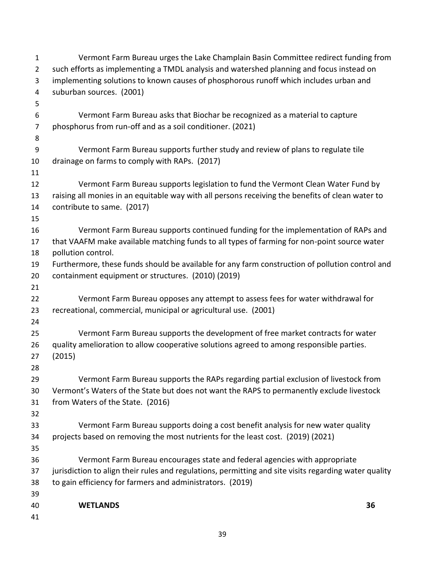| $\mathbf{1}$   | Vermont Farm Bureau urges the Lake Champlain Basin Committee redirect funding from                    |
|----------------|-------------------------------------------------------------------------------------------------------|
| $\overline{2}$ | such efforts as implementing a TMDL analysis and watershed planning and focus instead on              |
| 3              | implementing solutions to known causes of phosphorous runoff which includes urban and                 |
| 4              | suburban sources. (2001)                                                                              |
| 5              |                                                                                                       |
| 6              | Vermont Farm Bureau asks that Biochar be recognized as a material to capture                          |
| $\overline{7}$ | phosphorus from run-off and as a soil conditioner. (2021)                                             |
| 8              |                                                                                                       |
| 9              | Vermont Farm Bureau supports further study and review of plans to regulate tile                       |
| 10             | drainage on farms to comply with RAPs. (2017)                                                         |
| 11             |                                                                                                       |
| 12             | Vermont Farm Bureau supports legislation to fund the Vermont Clean Water Fund by                      |
| 13             | raising all monies in an equitable way with all persons receiving the benefits of clean water to      |
| 14             | contribute to same. (2017)                                                                            |
| 15             |                                                                                                       |
| 16             | Vermont Farm Bureau supports continued funding for the implementation of RAPs and                     |
| 17             | that VAAFM make available matching funds to all types of farming for non-point source water           |
| 18             | pollution control.                                                                                    |
| 19             | Furthermore, these funds should be available for any farm construction of pollution control and       |
| 20             | containment equipment or structures. (2010) (2019)                                                    |
| 21             |                                                                                                       |
| 22             | Vermont Farm Bureau opposes any attempt to assess fees for water withdrawal for                       |
| 23             | recreational, commercial, municipal or agricultural use. (2001)                                       |
| 24             |                                                                                                       |
| 25             | Vermont Farm Bureau supports the development of free market contracts for water                       |
| 26             | quality amelioration to allow cooperative solutions agreed to among responsible parties.              |
| 27             | (2015)                                                                                                |
| 28             |                                                                                                       |
| 29             | Vermont Farm Bureau supports the RAPs regarding partial exclusion of livestock from                   |
| 30             | Vermont's Waters of the State but does not want the RAPS to permanently exclude livestock             |
| 31             | from Waters of the State. (2016)                                                                      |
| 32             |                                                                                                       |
| 33             | Vermont Farm Bureau supports doing a cost benefit analysis for new water quality                      |
| 34             | projects based on removing the most nutrients for the least cost. (2019) (2021)                       |
| 35             |                                                                                                       |
| 36             | Vermont Farm Bureau encourages state and federal agencies with appropriate                            |
| 37             | jurisdiction to align their rules and regulations, permitting and site visits regarding water quality |
| 38             | to gain efficiency for farmers and administrators. (2019)                                             |
| 39             |                                                                                                       |
| 40             | 36<br><b>WETLANDS</b>                                                                                 |
| 41             |                                                                                                       |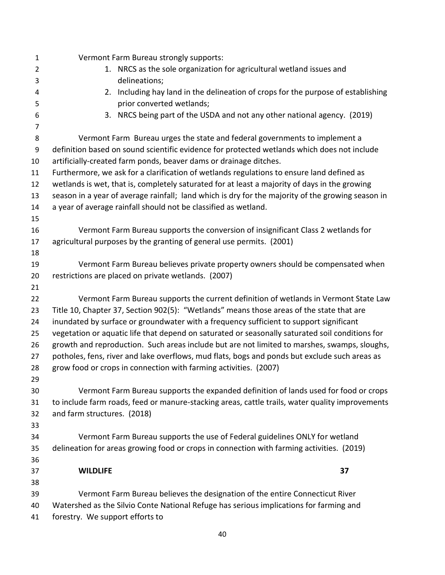| 1              | Vermont Farm Bureau strongly supports:                                                            |
|----------------|---------------------------------------------------------------------------------------------------|
| $\overline{2}$ | 1. NRCS as the sole organization for agricultural wetland issues and                              |
| 3              | delineations;                                                                                     |
| 4              | Including hay land in the delineation of crops for the purpose of establishing<br>2.              |
| 5              | prior converted wetlands;                                                                         |
| 6              | NRCS being part of the USDA and not any other national agency. (2019)<br>3.                       |
| 7              |                                                                                                   |
| 8              | Vermont Farm Bureau urges the state and federal governments to implement a                        |
| 9              | definition based on sound scientific evidence for protected wetlands which does not include       |
| 10             | artificially-created farm ponds, beaver dams or drainage ditches.                                 |
| 11             | Furthermore, we ask for a clarification of wetlands regulations to ensure land defined as         |
| 12             | wetlands is wet, that is, completely saturated for at least a majority of days in the growing     |
| 13             | season in a year of average rainfall; land which is dry for the majority of the growing season in |
| 14             | a year of average rainfall should not be classified as wetland.                                   |
| 15             |                                                                                                   |
| 16             | Vermont Farm Bureau supports the conversion of insignificant Class 2 wetlands for                 |
| 17             | agricultural purposes by the granting of general use permits. (2001)                              |
| 18             |                                                                                                   |
| 19             | Vermont Farm Bureau believes private property owners should be compensated when                   |
| 20             | restrictions are placed on private wetlands. (2007)                                               |
| 21             |                                                                                                   |
| 22             | Vermont Farm Bureau supports the current definition of wetlands in Vermont State Law              |
| 23             | Title 10, Chapter 37, Section 902(5): "Wetlands" means those areas of the state that are          |
| 24             | inundated by surface or groundwater with a frequency sufficient to support significant            |
| 25             | vegetation or aquatic life that depend on saturated or seasonally saturated soil conditions for   |
| 26             | growth and reproduction. Such areas include but are not limited to marshes, swamps, sloughs,      |
| 27             | potholes, fens, river and lake overflows, mud flats, bogs and ponds but exclude such areas as     |
| 28             | grow food or crops in connection with farming activities. (2007)                                  |
| 29             |                                                                                                   |
| 30             | Vermont Farm Bureau supports the expanded definition of lands used for food or crops              |
| 31             | to include farm roads, feed or manure-stacking areas, cattle trails, water quality improvements   |
| 32             | and farm structures. (2018)                                                                       |
| 33             |                                                                                                   |
| 34             | Vermont Farm Bureau supports the use of Federal guidelines ONLY for wetland                       |
| 35             | delineation for areas growing food or crops in connection with farming activities. (2019)         |
| 36             |                                                                                                   |
| 37             | 37<br><b>WILDLIFE</b>                                                                             |
| 38             |                                                                                                   |
| 39             | Vermont Farm Bureau believes the designation of the entire Connecticut River                      |
| 40             | Watershed as the Silvio Conte National Refuge has serious implications for farming and            |
| 41             | forestry. We support efforts to                                                                   |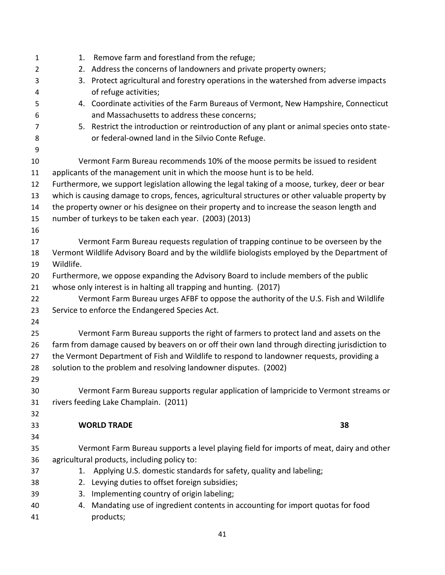| $\mathbf{1}$   | Remove farm and forestland from the refuge;<br>1.                                               |
|----------------|-------------------------------------------------------------------------------------------------|
| $\overline{2}$ | Address the concerns of landowners and private property owners;<br>2.                           |
| 3              | 3. Protect agricultural and forestry operations in the watershed from adverse impacts           |
| 4              | of refuge activities;                                                                           |
| 5              | 4. Coordinate activities of the Farm Bureaus of Vermont, New Hampshire, Connecticut             |
| 6              | and Massachusetts to address these concerns;                                                    |
| 7              | 5. Restrict the introduction or reintroduction of any plant or animal species onto state-       |
| 8              | or federal-owned land in the Silvio Conte Refuge.                                               |
| 9              |                                                                                                 |
| 10             | Vermont Farm Bureau recommends 10% of the moose permits be issued to resident                   |
| 11             | applicants of the management unit in which the moose hunt is to be held.                        |
| 12             | Furthermore, we support legislation allowing the legal taking of a moose, turkey, deer or bear  |
| 13             | which is causing damage to crops, fences, agricultural structures or other valuable property by |
| 14             | the property owner or his designee on their property and to increase the season length and      |
| 15             | number of turkeys to be taken each year. (2003) (2013)                                          |
| 16             |                                                                                                 |
| 17             | Vermont Farm Bureau requests regulation of trapping continue to be overseen by the              |
| 18             | Vermont Wildlife Advisory Board and by the wildlife biologists employed by the Department of    |
| 19             | Wildlife.                                                                                       |
| 20             | Furthermore, we oppose expanding the Advisory Board to include members of the public            |
| 21             | whose only interest is in halting all trapping and hunting. (2017)                              |
| 22             | Vermont Farm Bureau urges AFBF to oppose the authority of the U.S. Fish and Wildlife            |
| 23             | Service to enforce the Endangered Species Act.                                                  |
| 24             |                                                                                                 |
| 25             | Vermont Farm Bureau supports the right of farmers to protect land and assets on the             |
| 26             | farm from damage caused by beavers on or off their own land through directing jurisdiction to   |
| 27             | the Vermont Department of Fish and Wildlife to respond to landowner requests, providing a       |
| 28             | solution to the problem and resolving landowner disputes. (2002)                                |
| 29             |                                                                                                 |
| 30             | Vermont Farm Bureau supports regular application of lampricide to Vermont streams or            |
| 31             | rivers feeding Lake Champlain. (2011)                                                           |
| 32             |                                                                                                 |
| 33             | 38<br><b>WORLD TRADE</b>                                                                        |
| 34             |                                                                                                 |
| 35             | Vermont Farm Bureau supports a level playing field for imports of meat, dairy and other         |
| 36             | agricultural products, including policy to:                                                     |
| 37             | 1. Applying U.S. domestic standards for safety, quality and labeling;                           |
| 38             | 2. Levying duties to offset foreign subsidies;                                                  |
| 39             | 3. Implementing country of origin labeling;                                                     |
| 40             | 4. Mandating use of ingredient contents in accounting for import quotas for food                |
| 41             | products;                                                                                       |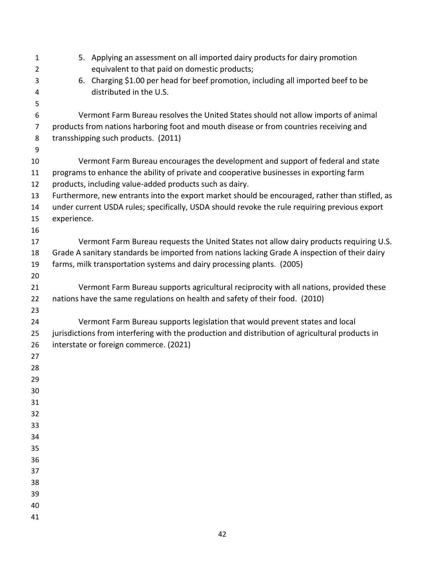| $\mathbf{1}$   | 5. Applying an assessment on all imported dairy products for dairy promotion                    |
|----------------|-------------------------------------------------------------------------------------------------|
| $\overline{2}$ | equivalent to that paid on domestic products;                                                   |
| 3              | 6. Charging \$1.00 per head for beef promotion, including all imported beef to be               |
| 4              | distributed in the U.S.                                                                         |
| 5              |                                                                                                 |
| 6              | Vermont Farm Bureau resolves the United States should not allow imports of animal               |
| $\overline{7}$ | products from nations harboring foot and mouth disease or from countries receiving and          |
| 8<br>9         | transshipping such products. (2011)                                                             |
| 10             | Vermont Farm Bureau encourages the development and support of federal and state                 |
| 11             | programs to enhance the ability of private and cooperative businesses in exporting farm         |
| 12             | products, including value-added products such as dairy.                                         |
| 13             | Furthermore, new entrants into the export market should be encouraged, rather than stifled, as  |
| 14             | under current USDA rules; specifically, USDA should revoke the rule requiring previous export   |
| 15             | experience.                                                                                     |
| 16             |                                                                                                 |
| 17             | Vermont Farm Bureau requests the United States not allow dairy products requiring U.S.          |
| 18             | Grade A sanitary standards be imported from nations lacking Grade A inspection of their dairy   |
| 19             | farms, milk transportation systems and dairy processing plants. (2005)                          |
| 20             |                                                                                                 |
| 21             | Vermont Farm Bureau supports agricultural reciprocity with all nations, provided these          |
| 22             | nations have the same regulations on health and safety of their food. (2010)                    |
| 23             |                                                                                                 |
| 24             | Vermont Farm Bureau supports legislation that would prevent states and local                    |
| 25             | jurisdictions from interfering with the production and distribution of agricultural products in |
| 26             | interstate or foreign commerce. (2021)                                                          |
| 27             |                                                                                                 |
| 28             |                                                                                                 |
| 29             |                                                                                                 |
| 30             |                                                                                                 |
| 31             |                                                                                                 |
| 32             |                                                                                                 |
| 33             |                                                                                                 |
| 34             |                                                                                                 |
| 35             |                                                                                                 |
| 36             |                                                                                                 |
| 37             |                                                                                                 |
| 38             |                                                                                                 |
| 39             |                                                                                                 |
| 40             |                                                                                                 |
| 41             |                                                                                                 |